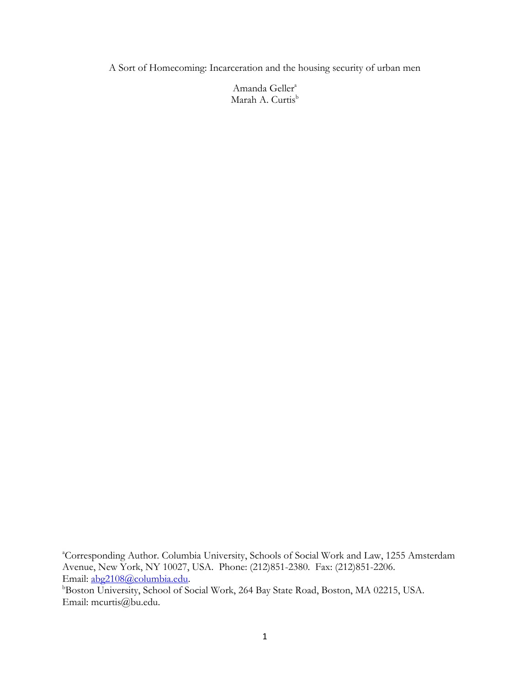A Sort of Homecoming: Incarceration and the housing security of urban men

Amanda Geller<sup>a</sup> Marah A. Curtis<sup>b</sup>

**Boston University, School of Social Work, 264 Bay State Road, Boston, MA 02215, USA.** Email: mcurtis@bu.edu.

<sup>&</sup>lt;sup>a</sup>Corresponding Author. Columbia University, Schools of Social Work and Law, 1255 Amsterdam Avenue, New York, NY 10027, USA. Phone: (212)851-2380. Fax: (212)851-2206. Email: [abg2108@columbia.edu.](mailto:abg2108@columbia.edu)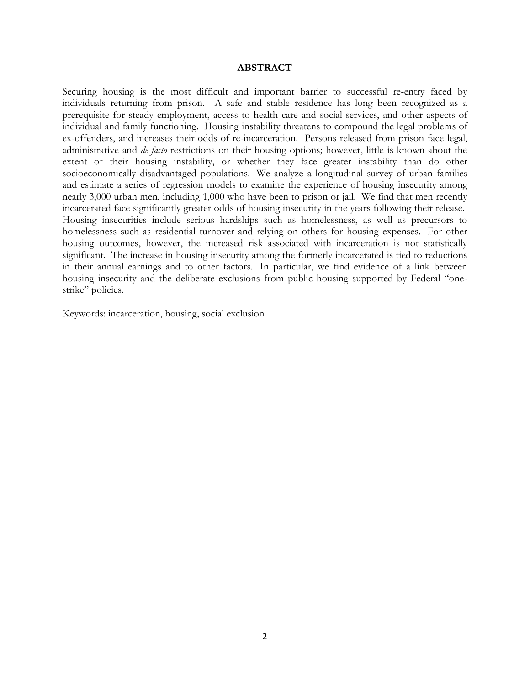## **ABSTRACT**

Securing housing is the most difficult and important barrier to successful re-entry faced by individuals returning from prison. A safe and stable residence has long been recognized as a prerequisite for steady employment, access to health care and social services, and other aspects of individual and family functioning. Housing instability threatens to compound the legal problems of ex-offenders, and increases their odds of re-incarceration. Persons released from prison face legal, administrative and *de facto* restrictions on their housing options; however, little is known about the extent of their housing instability, or whether they face greater instability than do other socioeconomically disadvantaged populations. We analyze a longitudinal survey of urban families and estimate a series of regression models to examine the experience of housing insecurity among nearly 3,000 urban men, including 1,000 who have been to prison or jail. We find that men recently incarcerated face significantly greater odds of housing insecurity in the years following their release. Housing insecurities include serious hardships such as homelessness, as well as precursors to homelessness such as residential turnover and relying on others for housing expenses. For other housing outcomes, however, the increased risk associated with incarceration is not statistically significant. The increase in housing insecurity among the formerly incarcerated is tied to reductions in their annual earnings and to other factors. In particular, we find evidence of a link between housing insecurity and the deliberate exclusions from public housing supported by Federal "onestrike" policies.

Keywords: incarceration, housing, social exclusion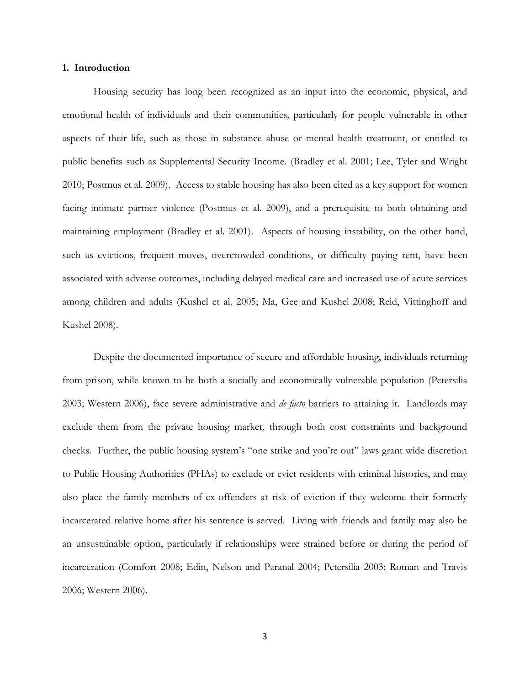#### **1. Introduction**

Housing security has long been recognized as an input into the economic, physical, and emotional health of individuals and their communities, particularly for people vulnerable in other aspects of their life, such as those in substance abuse or mental health treatment, or entitled to public benefits such as Supplemental Security Income. (Bradley et al. 2001; Lee, Tyler and Wright 2010; Postmus et al. 2009). Access to stable housing has also been cited as a key support for women facing intimate partner violence (Postmus et al. 2009), and a prerequisite to both obtaining and maintaining employment (Bradley et al. 2001). Aspects of housing instability, on the other hand, such as evictions, frequent moves, overcrowded conditions, or difficulty paying rent, have been associated with adverse outcomes, including delayed medical care and increased use of acute services among children and adults (Kushel et al. 2005; Ma, Gee and Kushel 2008; Reid, Vittinghoff and Kushel 2008).

Despite the documented importance of secure and affordable housing, individuals returning from prison, while known to be both a socially and economically vulnerable population (Petersilia 2003; Western 2006), face severe administrative and *de facto* barriers to attaining it. Landlords may exclude them from the private housing market, through both cost constraints and background checks. Further, the public housing system's "one strike and you're out" laws grant wide discretion to Public Housing Authorities (PHAs) to exclude or evict residents with criminal histories, and may also place the family members of ex-offenders at risk of eviction if they welcome their formerly incarcerated relative home after his sentence is served. Living with friends and family may also be an unsustainable option, particularly if relationships were strained before or during the period of incarceration (Comfort 2008; Edin, Nelson and Paranal 2004; Petersilia 2003; Roman and Travis 2006; Western 2006).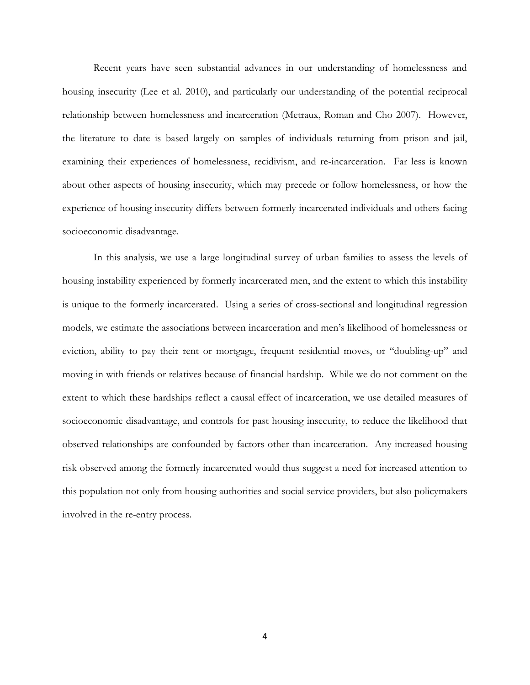Recent years have seen substantial advances in our understanding of homelessness and housing insecurity (Lee et al. 2010), and particularly our understanding of the potential reciprocal relationship between homelessness and incarceration (Metraux, Roman and Cho 2007). However, the literature to date is based largely on samples of individuals returning from prison and jail, examining their experiences of homelessness, recidivism, and re-incarceration. Far less is known about other aspects of housing insecurity, which may precede or follow homelessness, or how the experience of housing insecurity differs between formerly incarcerated individuals and others facing socioeconomic disadvantage.

In this analysis, we use a large longitudinal survey of urban families to assess the levels of housing instability experienced by formerly incarcerated men, and the extent to which this instability is unique to the formerly incarcerated. Using a series of cross-sectional and longitudinal regression models, we estimate the associations between incarceration and men's likelihood of homelessness or eviction, ability to pay their rent or mortgage, frequent residential moves, or "doubling-up" and moving in with friends or relatives because of financial hardship. While we do not comment on the extent to which these hardships reflect a causal effect of incarceration, we use detailed measures of socioeconomic disadvantage, and controls for past housing insecurity, to reduce the likelihood that observed relationships are confounded by factors other than incarceration. Any increased housing risk observed among the formerly incarcerated would thus suggest a need for increased attention to this population not only from housing authorities and social service providers, but also policymakers involved in the re-entry process.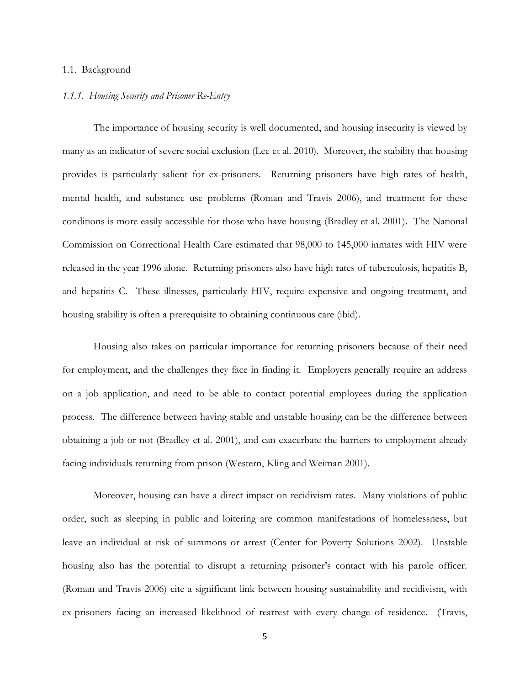#### 1.1. Background

#### *1.1.1. Housing Security and Prisoner Re-Entry*

The importance of housing security is well documented, and housing insecurity is viewed by many as an indicator of severe social exclusion (Lee et al. 2010). Moreover, the stability that housing provides is particularly salient for ex-prisoners. Returning prisoners have high rates of health, mental health, and substance use problems (Roman and Travis 2006), and treatment for these conditions is more easily accessible for those who have housing (Bradley et al. 2001). The National Commission on Correctional Health Care estimated that 98,000 to 145,000 inmates with HIV were released in the year 1996 alone. Returning prisoners also have high rates of tuberculosis, hepatitis B, and hepatitis C. These illnesses, particularly HIV, require expensive and ongoing treatment, and housing stability is often a prerequisite to obtaining continuous care (ibid).

Housing also takes on particular importance for returning prisoners because of their need for employment, and the challenges they face in finding it. Employers generally require an address on a job application, and need to be able to contact potential employees during the application process. The difference between having stable and unstable housing can be the difference between obtaining a job or not (Bradley et al. 2001), and can exacerbate the barriers to employment already facing individuals returning from prison (Western, Kling and Weiman 2001).

Moreover, housing can have a direct impact on recidivism rates. Many violations of public order, such as sleeping in public and loitering are common manifestations of homelessness, but leave an individual at risk of summons or arrest (Center for Poverty Solutions 2002). Unstable housing also has the potential to disrupt a returning prisoner's contact with his parole officer. (Roman and Travis 2006) cite a significant link between housing sustainability and recidivism, with ex-prisoners facing an increased likelihood of rearrest with every change of residence. (Travis,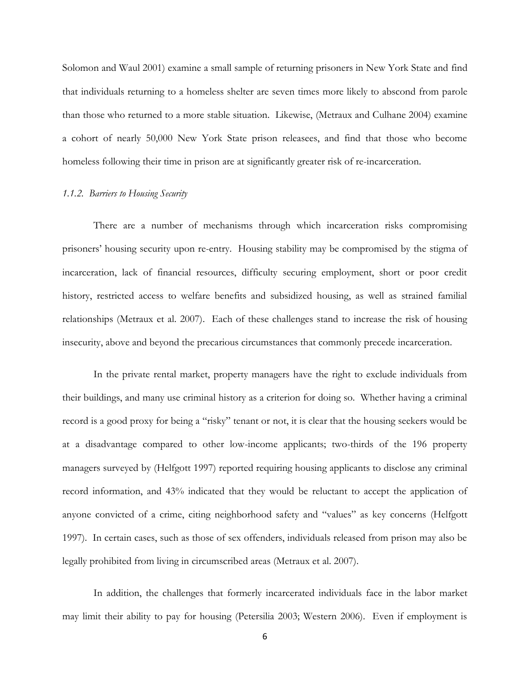Solomon and Waul 2001) examine a small sample of returning prisoners in New York State and find that individuals returning to a homeless shelter are seven times more likely to abscond from parole than those who returned to a more stable situation. Likewise, (Metraux and Culhane 2004) examine a cohort of nearly 50,000 New York State prison releasees, and find that those who become homeless following their time in prison are at significantly greater risk of re-incarceration.

## *1.1.2. Barriers to Housing Security*

There are a number of mechanisms through which incarceration risks compromising prisoners' housing security upon re-entry. Housing stability may be compromised by the stigma of incarceration, lack of financial resources, difficulty securing employment, short or poor credit history, restricted access to welfare benefits and subsidized housing, as well as strained familial relationships (Metraux et al. 2007). Each of these challenges stand to increase the risk of housing insecurity, above and beyond the precarious circumstances that commonly precede incarceration.

In the private rental market, property managers have the right to exclude individuals from their buildings, and many use criminal history as a criterion for doing so. Whether having a criminal record is a good proxy for being a "risky" tenant or not, it is clear that the housing seekers would be at a disadvantage compared to other low-income applicants; two-thirds of the 196 property managers surveyed by (Helfgott 1997) reported requiring housing applicants to disclose any criminal record information, and 43% indicated that they would be reluctant to accept the application of anyone convicted of a crime, citing neighborhood safety and "values" as key concerns (Helfgott 1997). In certain cases, such as those of sex offenders, individuals released from prison may also be legally prohibited from living in circumscribed areas (Metraux et al. 2007).

In addition, the challenges that formerly incarcerated individuals face in the labor market may limit their ability to pay for housing (Petersilia 2003; Western 2006). Even if employment is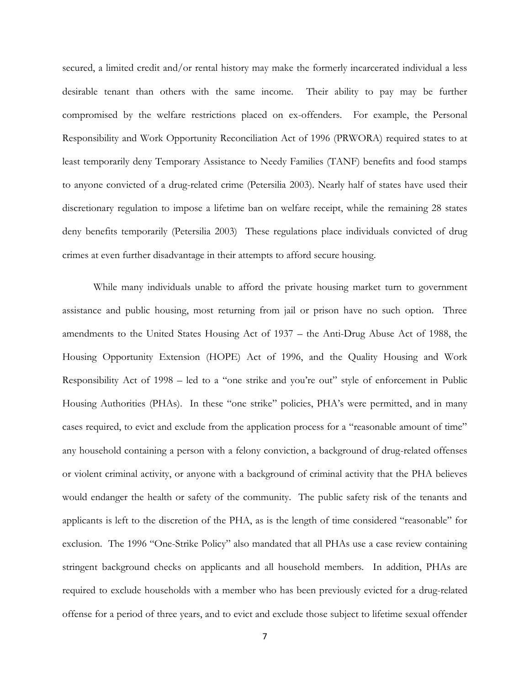secured, a limited credit and/or rental history may make the formerly incarcerated individual a less desirable tenant than others with the same income. Their ability to pay may be further compromised by the welfare restrictions placed on ex-offenders. For example, the Personal Responsibility and Work Opportunity Reconciliation Act of 1996 (PRWORA) required states to at least temporarily deny Temporary Assistance to Needy Families (TANF) benefits and food stamps to anyone convicted of a drug-related crime (Petersilia 2003). Nearly half of states have used their discretionary regulation to impose a lifetime ban on welfare receipt, while the remaining 28 states deny benefits temporarily (Petersilia 2003) These regulations place individuals convicted of drug crimes at even further disadvantage in their attempts to afford secure housing.

While many individuals unable to afford the private housing market turn to government assistance and public housing, most returning from jail or prison have no such option. Three amendments to the United States Housing Act of 1937 – the Anti-Drug Abuse Act of 1988, the Housing Opportunity Extension (HOPE) Act of 1996, and the Quality Housing and Work Responsibility Act of 1998 – led to a "one strike and you're out" style of enforcement in Public Housing Authorities (PHAs). In these "one strike" policies, PHA's were permitted, and in many cases required, to evict and exclude from the application process for a "reasonable amount of time" any household containing a person with a felony conviction, a background of drug-related offenses or violent criminal activity, or anyone with a background of criminal activity that the PHA believes would endanger the health or safety of the community. The public safety risk of the tenants and applicants is left to the discretion of the PHA, as is the length of time considered "reasonable" for exclusion. The 1996 "One-Strike Policy" also mandated that all PHAs use a case review containing stringent background checks on applicants and all household members. In addition, PHAs are required to exclude households with a member who has been previously evicted for a drug-related offense for a period of three years, and to evict and exclude those subject to lifetime sexual offender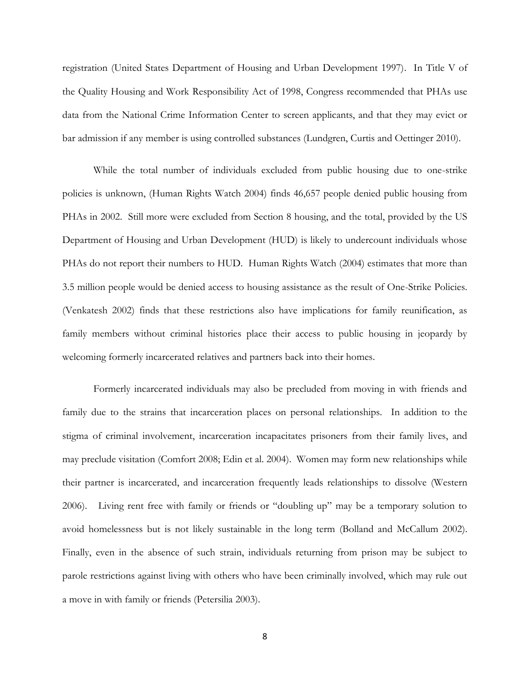registration (United States Department of Housing and Urban Development 1997). In Title V of the Quality Housing and Work Responsibility Act of 1998, Congress recommended that PHAs use data from the National Crime Information Center to screen applicants, and that they may evict or bar admission if any member is using controlled substances (Lundgren, Curtis and Oettinger 2010).

While the total number of individuals excluded from public housing due to one-strike policies is unknown, (Human Rights Watch 2004) finds 46,657 people denied public housing from PHAs in 2002. Still more were excluded from Section 8 housing, and the total, provided by the US Department of Housing and Urban Development (HUD) is likely to undercount individuals whose PHAs do not report their numbers to HUD. Human Rights Watch (2004) estimates that more than 3.5 million people would be denied access to housing assistance as the result of One-Strike Policies. (Venkatesh 2002) finds that these restrictions also have implications for family reunification, as family members without criminal histories place their access to public housing in jeopardy by welcoming formerly incarcerated relatives and partners back into their homes.

Formerly incarcerated individuals may also be precluded from moving in with friends and family due to the strains that incarceration places on personal relationships. In addition to the stigma of criminal involvement, incarceration incapacitates prisoners from their family lives, and may preclude visitation (Comfort 2008; Edin et al. 2004). Women may form new relationships while their partner is incarcerated, and incarceration frequently leads relationships to dissolve (Western 2006). Living rent free with family or friends or "doubling up" may be a temporary solution to avoid homelessness but is not likely sustainable in the long term (Bolland and McCallum 2002). Finally, even in the absence of such strain, individuals returning from prison may be subject to parole restrictions against living with others who have been criminally involved, which may rule out a move in with family or friends (Petersilia 2003).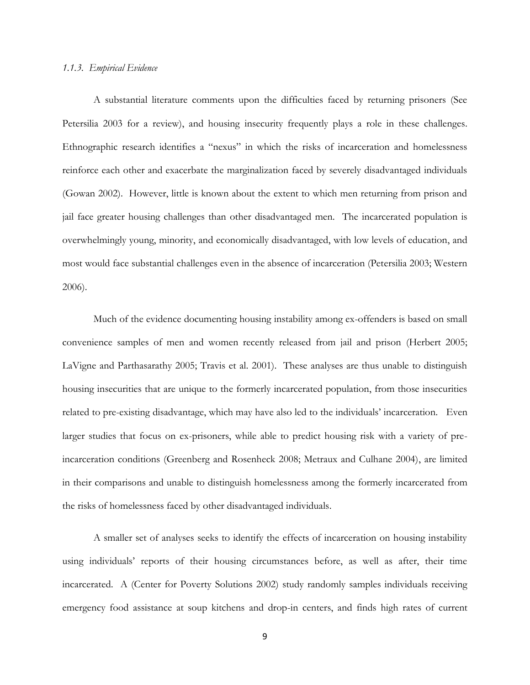## *1.1.3. Empirical Evidence*

A substantial literature comments upon the difficulties faced by returning prisoners (See Petersilia 2003 for a review), and housing insecurity frequently plays a role in these challenges. Ethnographic research identifies a "nexus" in which the risks of incarceration and homelessness reinforce each other and exacerbate the marginalization faced by severely disadvantaged individuals (Gowan 2002). However, little is known about the extent to which men returning from prison and jail face greater housing challenges than other disadvantaged men. The incarcerated population is overwhelmingly young, minority, and economically disadvantaged, with low levels of education, and most would face substantial challenges even in the absence of incarceration (Petersilia 2003; Western 2006).

Much of the evidence documenting housing instability among ex-offenders is based on small convenience samples of men and women recently released from jail and prison (Herbert 2005; LaVigne and Parthasarathy 2005; Travis et al. 2001). These analyses are thus unable to distinguish housing insecurities that are unique to the formerly incarcerated population, from those insecurities related to pre-existing disadvantage, which may have also led to the individuals' incarceration. Even larger studies that focus on ex-prisoners, while able to predict housing risk with a variety of preincarceration conditions (Greenberg and Rosenheck 2008; Metraux and Culhane 2004), are limited in their comparisons and unable to distinguish homelessness among the formerly incarcerated from the risks of homelessness faced by other disadvantaged individuals.

A smaller set of analyses seeks to identify the effects of incarceration on housing instability using individuals' reports of their housing circumstances before, as well as after, their time incarcerated. A (Center for Poverty Solutions 2002) study randomly samples individuals receiving emergency food assistance at soup kitchens and drop-in centers, and finds high rates of current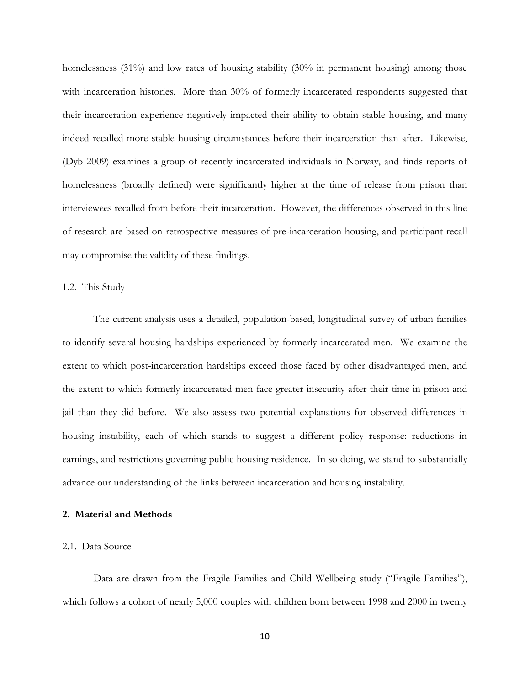homelessness (31%) and low rates of housing stability (30% in permanent housing) among those with incarceration histories. More than 30% of formerly incarcerated respondents suggested that their incarceration experience negatively impacted their ability to obtain stable housing, and many indeed recalled more stable housing circumstances before their incarceration than after. Likewise, (Dyb 2009) examines a group of recently incarcerated individuals in Norway, and finds reports of homelessness (broadly defined) were significantly higher at the time of release from prison than interviewees recalled from before their incarceration. However, the differences observed in this line of research are based on retrospective measures of pre-incarceration housing, and participant recall may compromise the validity of these findings.

## 1.2. This Study

The current analysis uses a detailed, population-based, longitudinal survey of urban families to identify several housing hardships experienced by formerly incarcerated men. We examine the extent to which post-incarceration hardships exceed those faced by other disadvantaged men, and the extent to which formerly-incarcerated men face greater insecurity after their time in prison and jail than they did before. We also assess two potential explanations for observed differences in housing instability, each of which stands to suggest a different policy response: reductions in earnings, and restrictions governing public housing residence. In so doing, we stand to substantially advance our understanding of the links between incarceration and housing instability.

## **2. Material and Methods**

#### 2.1. Data Source

Data are drawn from the Fragile Families and Child Wellbeing study ("Fragile Families"), which follows a cohort of nearly 5,000 couples with children born between 1998 and 2000 in twenty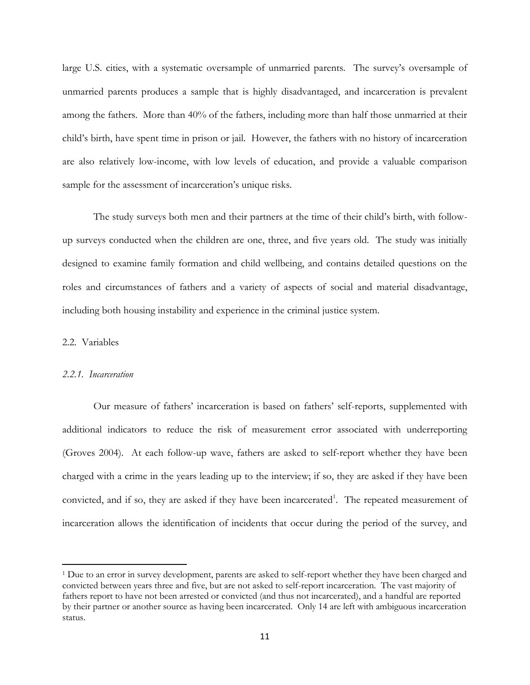large U.S. cities, with a systematic oversample of unmarried parents. The survey's oversample of unmarried parents produces a sample that is highly disadvantaged, and incarceration is prevalent among the fathers. More than 40% of the fathers, including more than half those unmarried at their child's birth, have spent time in prison or jail. However, the fathers with no history of incarceration are also relatively low-income, with low levels of education, and provide a valuable comparison sample for the assessment of incarceration's unique risks.

The study surveys both men and their partners at the time of their child's birth, with followup surveys conducted when the children are one, three, and five years old. The study was initially designed to examine family formation and child wellbeing, and contains detailed questions on the roles and circumstances of fathers and a variety of aspects of social and material disadvantage, including both housing instability and experience in the criminal justice system.

## 2.2. Variables

 $\overline{a}$ 

#### *2.2.1. Incarceration*

Our measure of fathers' incarceration is based on fathers' self-reports, supplemented with additional indicators to reduce the risk of measurement error associated with underreporting (Groves 2004). At each follow-up wave, fathers are asked to self-report whether they have been charged with a crime in the years leading up to the interview; if so, they are asked if they have been convicted, and if so, they are asked if they have been incarcerated<sup>1</sup>. The repeated measurement of incarceration allows the identification of incidents that occur during the period of the survey, and

<sup>1</sup> Due to an error in survey development, parents are asked to self-report whether they have been charged and convicted between years three and five, but are not asked to self-report incarceration. The vast majority of fathers report to have not been arrested or convicted (and thus not incarcerated), and a handful are reported by their partner or another source as having been incarcerated. Only 14 are left with ambiguous incarceration status.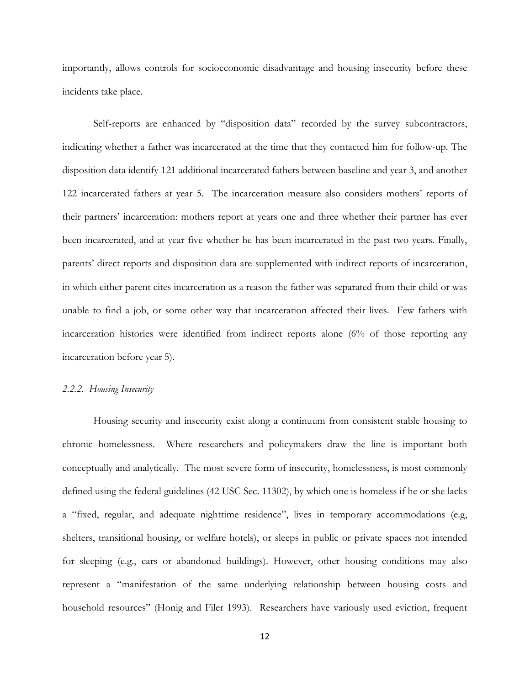importantly, allows controls for socioeconomic disadvantage and housing insecurity before these incidents take place.

Self-reports are enhanced by "disposition data" recorded by the survey subcontractors, indicating whether a father was incarcerated at the time that they contacted him for follow-up. The disposition data identify 121 additional incarcerated fathers between baseline and year 3, and another 122 incarcerated fathers at year 5. The incarceration measure also considers mothers' reports of their partners' incarceration: mothers report at years one and three whether their partner has ever been incarcerated, and at year five whether he has been incarcerated in the past two years. Finally, parents' direct reports and disposition data are supplemented with indirect reports of incarceration, in which either parent cites incarceration as a reason the father was separated from their child or was unable to find a job, or some other way that incarceration affected their lives. Few fathers with incarceration histories were identified from indirect reports alone (6% of those reporting any incarceration before year 5).

#### *2.2.2. Housing Insecurity*

Housing security and insecurity exist along a continuum from consistent stable housing to chronic homelessness. Where researchers and policymakers draw the line is important both conceptually and analytically. The most severe form of insecurity, homelessness, is most commonly defined using the federal guidelines (42 USC Sec. 11302), by which one is homeless if he or she lacks a "fixed, regular, and adequate nighttime residence", lives in temporary accommodations (e.g, shelters, transitional housing, or welfare hotels), or sleeps in public or private spaces not intended for sleeping (e.g., cars or abandoned buildings). However, other housing conditions may also represent a "manifestation of the same underlying relationship between housing costs and household resources" (Honig and Filer 1993). Researchers have variously used eviction, frequent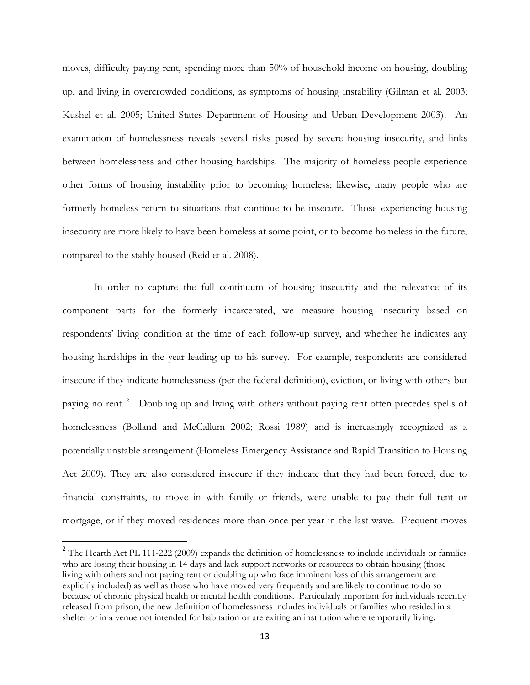moves, difficulty paying rent, spending more than 50% of household income on housing, doubling up, and living in overcrowded conditions, as symptoms of housing instability (Gilman et al. 2003; Kushel et al. 2005; United States Department of Housing and Urban Development 2003). An examination of homelessness reveals several risks posed by severe housing insecurity, and links between homelessness and other housing hardships. The majority of homeless people experience other forms of housing instability prior to becoming homeless; likewise, many people who are formerly homeless return to situations that continue to be insecure. Those experiencing housing insecurity are more likely to have been homeless at some point, or to become homeless in the future, compared to the stably housed (Reid et al. 2008).

In order to capture the full continuum of housing insecurity and the relevance of its component parts for the formerly incarcerated, we measure housing insecurity based on respondents' living condition at the time of each follow-up survey, and whether he indicates any housing hardships in the year leading up to his survey. For example, respondents are considered insecure if they indicate homelessness (per the federal definition), eviction, or living with others but paying no rent.<sup>2</sup> Doubling up and living with others without paying rent often precedes spells of homelessness (Bolland and McCallum 2002; Rossi 1989) and is increasingly recognized as a potentially unstable arrangement (Homeless Emergency Assistance and Rapid Transition to Housing Act 2009). They are also considered insecure if they indicate that they had been forced, due to financial constraints, to move in with family or friends, were unable to pay their full rent or mortgage, or if they moved residences more than once per year in the last wave. Frequent moves

 $\overline{a}$ 

<sup>&</sup>lt;sup>2</sup> The Hearth Act PL 111-222 (2009) expands the definition of homelessness to include individuals or families who are losing their housing in 14 days and lack support networks or resources to obtain housing (those living with others and not paying rent or doubling up who face imminent loss of this arrangement are explicitly included) as well as those who have moved very frequently and are likely to continue to do so because of chronic physical health or mental health conditions. Particularly important for individuals recently released from prison, the new definition of homelessness includes individuals or families who resided in a shelter or in a venue not intended for habitation or are exiting an institution where temporarily living.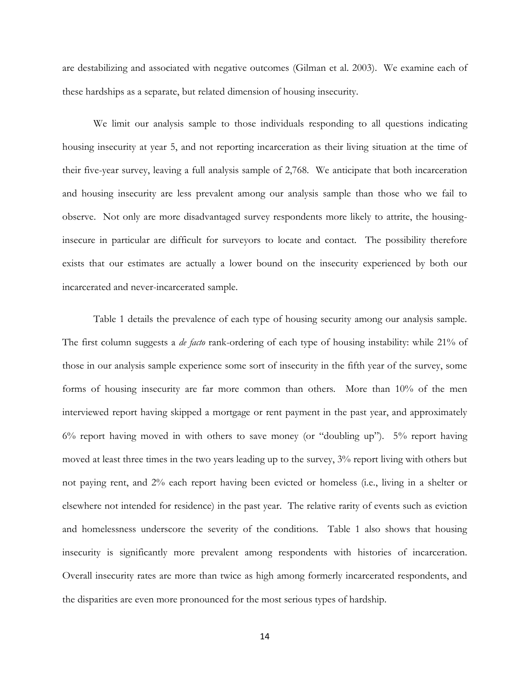are destabilizing and associated with negative outcomes (Gilman et al. 2003). We examine each of these hardships as a separate, but related dimension of housing insecurity.

We limit our analysis sample to those individuals responding to all questions indicating housing insecurity at year 5, and not reporting incarceration as their living situation at the time of their five-year survey, leaving a full analysis sample of 2,768. We anticipate that both incarceration and housing insecurity are less prevalent among our analysis sample than those who we fail to observe. Not only are more disadvantaged survey respondents more likely to attrite, the housinginsecure in particular are difficult for surveyors to locate and contact. The possibility therefore exists that our estimates are actually a lower bound on the insecurity experienced by both our incarcerated and never-incarcerated sample.

Table 1 details the prevalence of each type of housing security among our analysis sample. The first column suggests a *de facto* rank-ordering of each type of housing instability: while 21% of those in our analysis sample experience some sort of insecurity in the fifth year of the survey, some forms of housing insecurity are far more common than others. More than 10% of the men interviewed report having skipped a mortgage or rent payment in the past year, and approximately  $6\%$  report having moved in with others to save money (or "doubling up").  $5\%$  report having moved at least three times in the two years leading up to the survey, 3% report living with others but not paying rent, and 2% each report having been evicted or homeless (i.e., living in a shelter or elsewhere not intended for residence) in the past year. The relative rarity of events such as eviction and homelessness underscore the severity of the conditions. Table 1 also shows that housing insecurity is significantly more prevalent among respondents with histories of incarceration. Overall insecurity rates are more than twice as high among formerly incarcerated respondents, and the disparities are even more pronounced for the most serious types of hardship.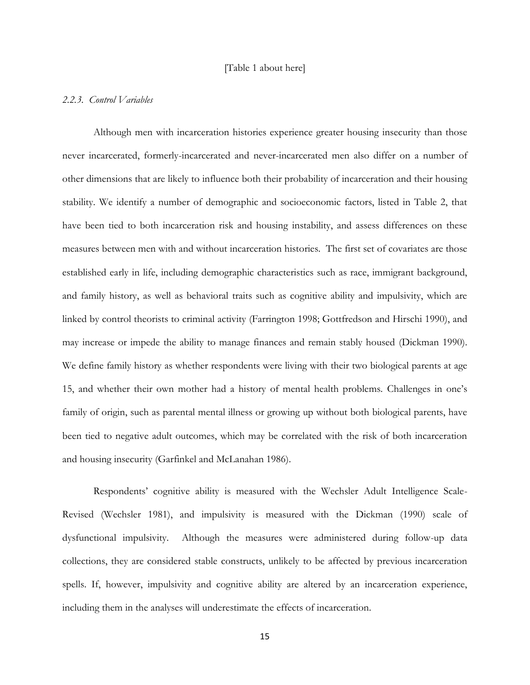## [Table 1 about here]

## *2.2.3. Control Variables*

Although men with incarceration histories experience greater housing insecurity than those never incarcerated, formerly-incarcerated and never-incarcerated men also differ on a number of other dimensions that are likely to influence both their probability of incarceration and their housing stability. We identify a number of demographic and socioeconomic factors, listed in Table 2, that have been tied to both incarceration risk and housing instability, and assess differences on these measures between men with and without incarceration histories. The first set of covariates are those established early in life, including demographic characteristics such as race, immigrant background, and family history, as well as behavioral traits such as cognitive ability and impulsivity, which are linked by control theorists to criminal activity (Farrington 1998; Gottfredson and Hirschi 1990), and may increase or impede the ability to manage finances and remain stably housed (Dickman 1990). We define family history as whether respondents were living with their two biological parents at age 15, and whether their own mother had a history of mental health problems. Challenges in one's family of origin, such as parental mental illness or growing up without both biological parents, have been tied to negative adult outcomes, which may be correlated with the risk of both incarceration and housing insecurity (Garfinkel and McLanahan 1986).

Respondents' cognitive ability is measured with the Wechsler Adult Intelligence Scale-Revised (Wechsler 1981), and impulsivity is measured with the Dickman (1990) scale of dysfunctional impulsivity. Although the measures were administered during follow-up data collections, they are considered stable constructs, unlikely to be affected by previous incarceration spells. If, however, impulsivity and cognitive ability are altered by an incarceration experience, including them in the analyses will underestimate the effects of incarceration.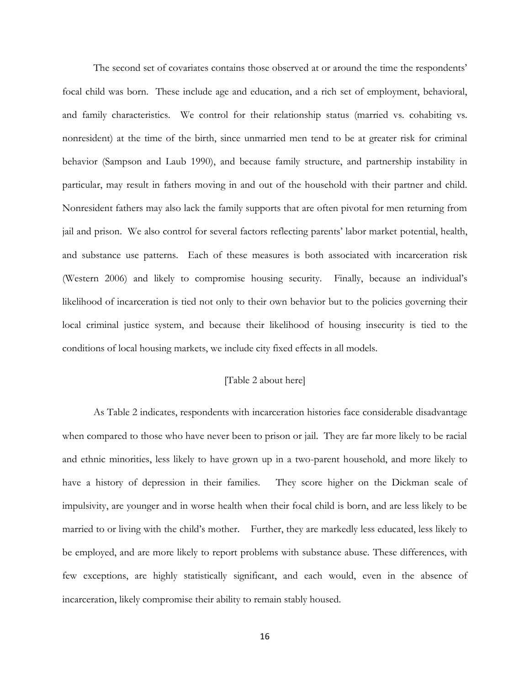The second set of covariates contains those observed at or around the time the respondents' focal child was born. These include age and education, and a rich set of employment, behavioral, and family characteristics. We control for their relationship status (married vs. cohabiting vs. nonresident) at the time of the birth, since unmarried men tend to be at greater risk for criminal behavior (Sampson and Laub 1990), and because family structure, and partnership instability in particular, may result in fathers moving in and out of the household with their partner and child. Nonresident fathers may also lack the family supports that are often pivotal for men returning from jail and prison. We also control for several factors reflecting parents' labor market potential, health, and substance use patterns. Each of these measures is both associated with incarceration risk (Western 2006) and likely to compromise housing security. Finally, because an individual's likelihood of incarceration is tied not only to their own behavior but to the policies governing their local criminal justice system, and because their likelihood of housing insecurity is tied to the conditions of local housing markets, we include city fixed effects in all models.

## [Table 2 about here]

As Table 2 indicates, respondents with incarceration histories face considerable disadvantage when compared to those who have never been to prison or jail. They are far more likely to be racial and ethnic minorities, less likely to have grown up in a two-parent household, and more likely to have a history of depression in their families. They score higher on the Dickman scale of impulsivity, are younger and in worse health when their focal child is born, and are less likely to be married to or living with the child's mother. Further, they are markedly less educated, less likely to be employed, and are more likely to report problems with substance abuse. These differences, with few exceptions, are highly statistically significant, and each would, even in the absence of incarceration, likely compromise their ability to remain stably housed.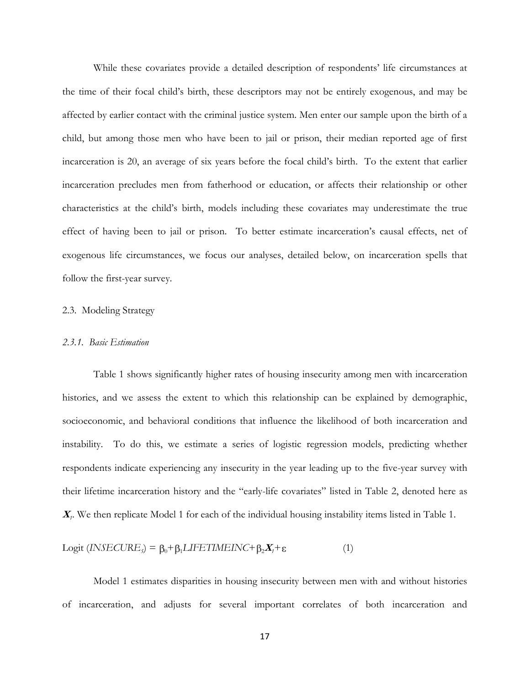While these covariates provide a detailed description of respondents' life circumstances at the time of their focal child's birth, these descriptors may not be entirely exogenous, and may be affected by earlier contact with the criminal justice system. Men enter our sample upon the birth of a child, but among those men who have been to jail or prison, their median reported age of first incarceration is 20, an average of six years before the focal child's birth. To the extent that earlier incarceration precludes men from fatherhood or education, or affects their relationship or other characteristics at the child's birth, models including these covariates may underestimate the true effect of having been to jail or prison. To better estimate incarceration's causal effects, net of exogenous life circumstances, we focus our analyses, detailed below, on incarceration spells that follow the first-year survey.

#### 2.3. Modeling Strategy

#### *2.3.1. Basic Estimation*

Table 1 shows significantly higher rates of housing insecurity among men with incarceration histories, and we assess the extent to which this relationship can be explained by demographic, socioeconomic, and behavioral conditions that influence the likelihood of both incarceration and instability. To do this, we estimate a series of logistic regression models, predicting whether respondents indicate experiencing any insecurity in the year leading up to the five-year survey with their lifetime incarceration history and the "early-life covariates" listed in Table 2, denoted here as **X***1* . We then replicate Model 1 for each of the individual housing instability items listed in Table 1.

$$
Logit (INSECUREs) = \beta_0 + \beta_1 LIFETIMEINC + \beta_2 X_t + \varepsilon
$$
 (1)

Model 1 estimates disparities in housing insecurity between men with and without histories of incarceration, and adjusts for several important correlates of both incarceration and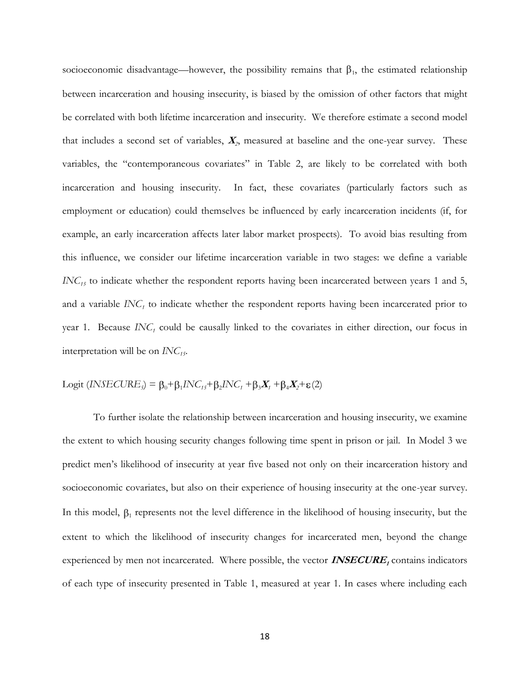socioeconomic disadvantage—however, the possibility remains that  $\beta_1$ , the estimated relationship between incarceration and housing insecurity, is biased by the omission of other factors that might be correlated with both lifetime incarceration and insecurity. We therefore estimate a second model that includes a second set of variables, **<sup>X</sup>***<sup>2</sup>* , measured at baseline and the one-year survey. These variables, the "contemporaneous covariates" in Table 2, are likely to be correlated with both incarceration and housing insecurity. In fact, these covariates (particularly factors such as employment or education) could themselves be influenced by early incarceration incidents (if, for example, an early incarceration affects later labor market prospects). To avoid bias resulting from this influence, we consider our lifetime incarceration variable in two stages: we define a variable *INC*<sup>15</sup> to indicate whether the respondent reports having been incarcerated between years 1 and 5, and a variable  $INC<sub>I</sub>$  to indicate whether the respondent reports having been incarcerated prior to year 1. Because  $INC<sub>1</sub>$  could be causally linked to the covariates in either direction, our focus in interpretation will be on *INC15*.

$$
Logit (INSECURE5) = \beta_0 + \beta_1 INC_{15} + \beta_2 INC_1 + \beta_3 X_1 + \beta_4 X_2 + \varepsilon(2)
$$

To further isolate the relationship between incarceration and housing insecurity, we examine the extent to which housing security changes following time spent in prison or jail. In Model 3 we predict men's likelihood of insecurity at year five based not only on their incarceration history and socioeconomic covariates, but also on their experience of housing insecurity at the one-year survey. In this model,  $\beta_1$  represents not the level difference in the likelihood of housing insecurity, but the extent to which the likelihood of insecurity changes for incarcerated men, beyond the change experienced by men not incarcerated. Where possible, the vector **INSECURE**<sub>I</sub> contains indicators of each type of insecurity presented in Table 1, measured at year 1. In cases where including each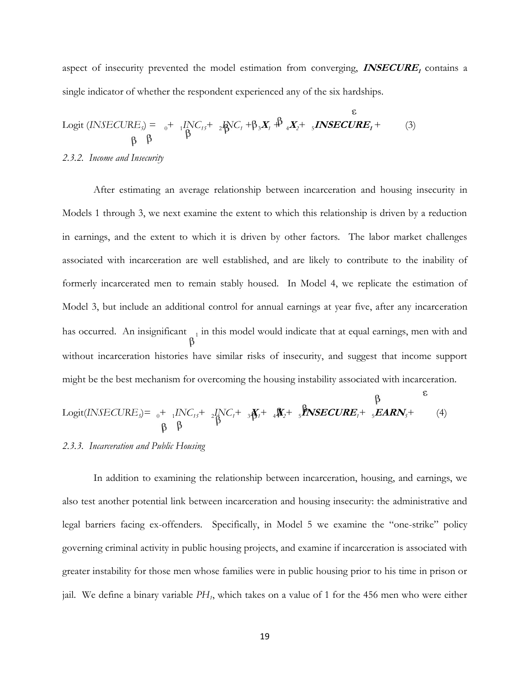aspect of insecurity prevented the model estimation from converging, **INSECURE**<sub>1</sub> contains a single indicator of whether the respondent experienced any of the six hardships.

$$
Logit (INSECURE5) = {}_{0} + {}_{1}INC_{15} + {}_{2}AVC_{1} + \beta {}_{3}X_{1} + {}_{3}NSECURE_{1} + {}_{(3)} \beta {}_{\beta} \beta
$$

#### *2.3.2. Income and Insecurity*

 After estimating an average relationship between incarceration and housing insecurity in Models 1 through 3, we next examine the extent to which this relationship is driven by a reduction in earnings, and the extent to which it is driven by other factors. The labor market challenges associated with incarceration are well established, and are likely to contribute to the inability of formerly incarcerated men to remain stably housed. In Model 4, we replicate the estimation of Model 3, but include an additional control for annual earnings at year five, after any incarceration has occurred. An insignificant  $\frac{1}{n}$  in this model would indicate that at equal earnings, men with and without incarceration histories have similar risks of insecurity, and suggest that income support might be the best mechanism for overcoming the housing instability associated with incarceration.

$$
Logit(\text{INSECURE}_{5}) = {}_{0} + {}_{1}INC_{15} + {}_{2}INC_{1} + {}_{3}N_{1} + {}_{4}N_{2} + {}_{5}P_{\text{NSECURE}_{1}} + {}_{5}EARN_{5} + {}_{(4)}P_{\text{N}}
$$
\n
$$
\uparrow
$$
\n
$$
\uparrow
$$
\n
$$
\uparrow
$$
\n
$$
\uparrow
$$

## *2.3.3. Incarceration and Public Housing*

In addition to examining the relationship between incarceration, housing, and earnings, we also test another potential link between incarceration and housing insecurity: the administrative and legal barriers facing ex-offenders. Specifically, in Model 5 we examine the "one-strike" policy governing criminal activity in public housing projects, and examine if incarceration is associated with greater instability for those men whose families were in public housing prior to his time in prison or jail. We define a binary variable *PH<sup>1</sup>* , which takes on a value of 1 for the 456 men who were either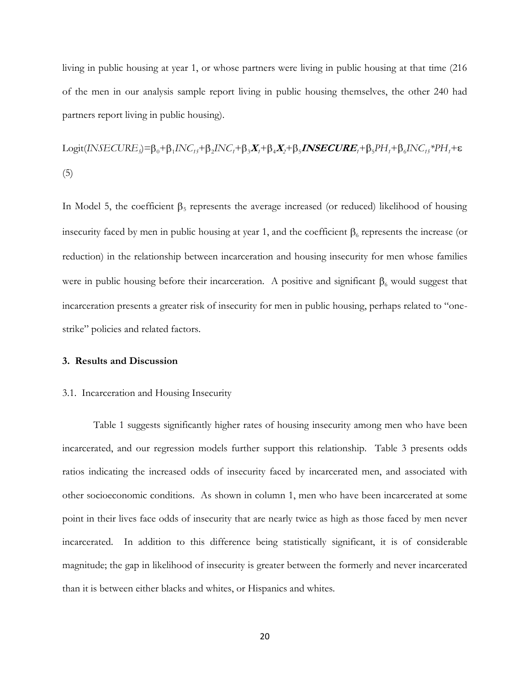living in public housing at year 1, or whose partners were living in public housing at that time (216 of the men in our analysis sample report living in public housing themselves, the other 240 had partners report living in public housing).

$$
Logit(\text{INSECURE}_5) = \beta_0 + \beta_1 \text{INC}_{15} + \beta_2 \text{INC}_{17} + \beta_3 \mathbf{X}_1 + \beta_4 \mathbf{X}_2 + \beta_5 \text{INSECURE}_1 + \beta_5 \text{PH}_1 + \beta_6 \text{INC}_{15} * \text{PH}_1 + \epsilon
$$
\n
$$
(5)
$$

In Model 5, the coefficient  $\beta_5$  represents the average increased (or reduced) likelihood of housing insecurity faced by men in public housing at year 1, and the coefficient  $\beta_6$  represents the increase (or reduction) in the relationship between incarceration and housing insecurity for men whose families were in public housing before their incarceration. A positive and significant  $\beta_6$  would suggest that incarceration presents a greater risk of insecurity for men in public housing, perhaps related to "onestrike" policies and related factors.

#### **3. Results and Discussion**

#### 3.1. Incarceration and Housing Insecurity

Table 1 suggests significantly higher rates of housing insecurity among men who have been incarcerated, and our regression models further support this relationship. Table 3 presents odds ratios indicating the increased odds of insecurity faced by incarcerated men, and associated with other socioeconomic conditions. As shown in column 1, men who have been incarcerated at some point in their lives face odds of insecurity that are nearly twice as high as those faced by men never incarcerated. In addition to this difference being statistically significant, it is of considerable magnitude; the gap in likelihood of insecurity is greater between the formerly and never incarcerated than it is between either blacks and whites, or Hispanics and whites.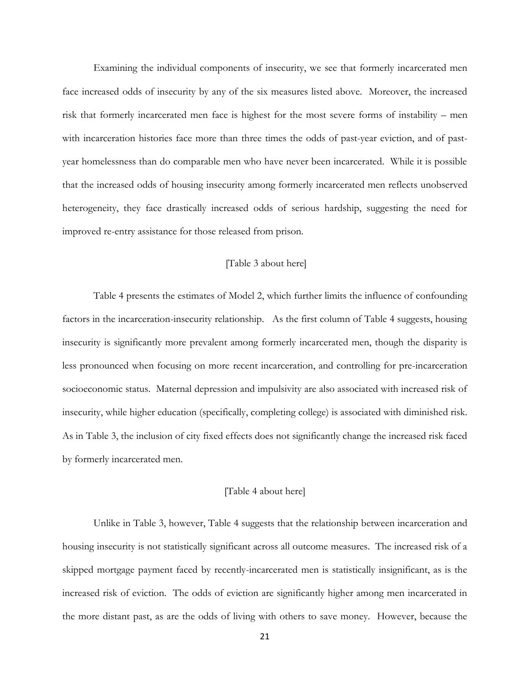Examining the individual components of insecurity, we see that formerly incarcerated men face increased odds of insecurity by any of the six measures listed above. Moreover, the increased risk that formerly incarcerated men face is highest for the most severe forms of instability – men with incarceration histories face more than three times the odds of past-year eviction, and of pastyear homelessness than do comparable men who have never been incarcerated. While it is possible that the increased odds of housing insecurity among formerly incarcerated men reflects unobserved heterogeneity, they face drastically increased odds of serious hardship, suggesting the need for improved re-entry assistance for those released from prison.

## [Table 3 about here]

Table 4 presents the estimates of Model 2, which further limits the influence of confounding factors in the incarceration-insecurity relationship. As the first column of Table 4 suggests, housing insecurity is significantly more prevalent among formerly incarcerated men, though the disparity is less pronounced when focusing on more recent incarceration, and controlling for pre-incarceration socioeconomic status. Maternal depression and impulsivity are also associated with increased risk of insecurity, while higher education (specifically, completing college) is associated with diminished risk. As in Table 3, the inclusion of city fixed effects does not significantly change the increased risk faced by formerly incarcerated men.

## [Table 4 about here]

Unlike in Table 3, however, Table 4 suggests that the relationship between incarceration and housing insecurity is not statistically significant across all outcome measures. The increased risk of a skipped mortgage payment faced by recently-incarcerated men is statistically insignificant, as is the increased risk of eviction. The odds of eviction are significantly higher among men incarcerated in the more distant past, as are the odds of living with others to save money. However, because the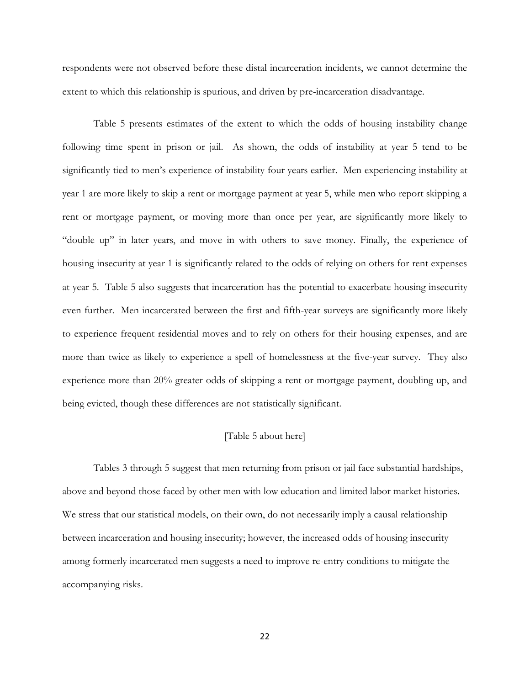respondents were not observed before these distal incarceration incidents, we cannot determine the extent to which this relationship is spurious, and driven by pre-incarceration disadvantage.

Table 5 presents estimates of the extent to which the odds of housing instability change following time spent in prison or jail. As shown, the odds of instability at year 5 tend to be significantly tied to men's experience of instability four years earlier. Men experiencing instability at year 1 are more likely to skip a rent or mortgage payment at year 5, while men who report skipping a rent or mortgage payment, or moving more than once per year, are significantly more likely to "double up" in later years, and move in with others to save money. Finally, the experience of housing insecurity at year 1 is significantly related to the odds of relying on others for rent expenses at year 5. Table 5 also suggests that incarceration has the potential to exacerbate housing insecurity even further. Men incarcerated between the first and fifth-year surveys are significantly more likely to experience frequent residential moves and to rely on others for their housing expenses, and are more than twice as likely to experience a spell of homelessness at the five-year survey. They also experience more than 20% greater odds of skipping a rent or mortgage payment, doubling up, and being evicted, though these differences are not statistically significant.

#### [Table 5 about here]

Tables 3 through 5 suggest that men returning from prison or jail face substantial hardships, above and beyond those faced by other men with low education and limited labor market histories. We stress that our statistical models, on their own, do not necessarily imply a causal relationship between incarceration and housing insecurity; however, the increased odds of housing insecurity among formerly incarcerated men suggests a need to improve re-entry conditions to mitigate the accompanying risks.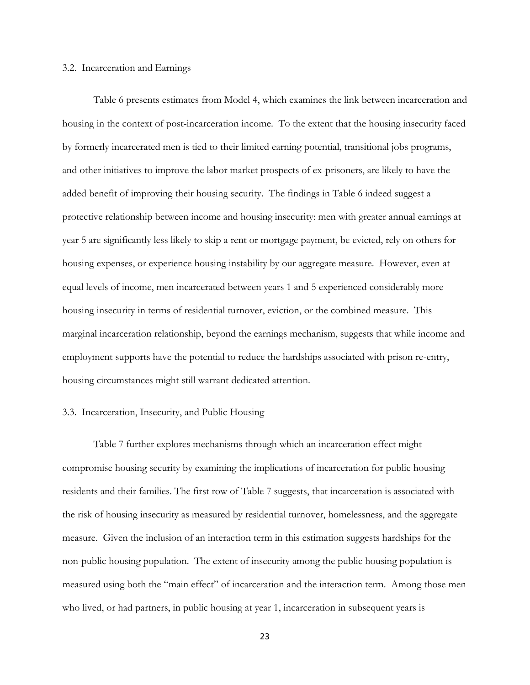#### 3.2. Incarceration and Earnings

Table 6 presents estimates from Model 4, which examines the link between incarceration and housing in the context of post-incarceration income. To the extent that the housing insecurity faced by formerly incarcerated men is tied to their limited earning potential, transitional jobs programs, and other initiatives to improve the labor market prospects of ex-prisoners, are likely to have the added benefit of improving their housing security. The findings in Table 6 indeed suggest a protective relationship between income and housing insecurity: men with greater annual earnings at year 5 are significantly less likely to skip a rent or mortgage payment, be evicted, rely on others for housing expenses, or experience housing instability by our aggregate measure. However, even at equal levels of income, men incarcerated between years 1 and 5 experienced considerably more housing insecurity in terms of residential turnover, eviction, or the combined measure. This marginal incarceration relationship, beyond the earnings mechanism, suggests that while income and employment supports have the potential to reduce the hardships associated with prison re-entry, housing circumstances might still warrant dedicated attention.

#### 3.3. Incarceration, Insecurity, and Public Housing

Table 7 further explores mechanisms through which an incarceration effect might compromise housing security by examining the implications of incarceration for public housing residents and their families. The first row of Table 7 suggests, that incarceration is associated with the risk of housing insecurity as measured by residential turnover, homelessness, and the aggregate measure. Given the inclusion of an interaction term in this estimation suggests hardships for the non-public housing population. The extent of insecurity among the public housing population is measured using both the "main effect" of incarceration and the interaction term. Among those men who lived, or had partners, in public housing at year 1, incarceration in subsequent years is

23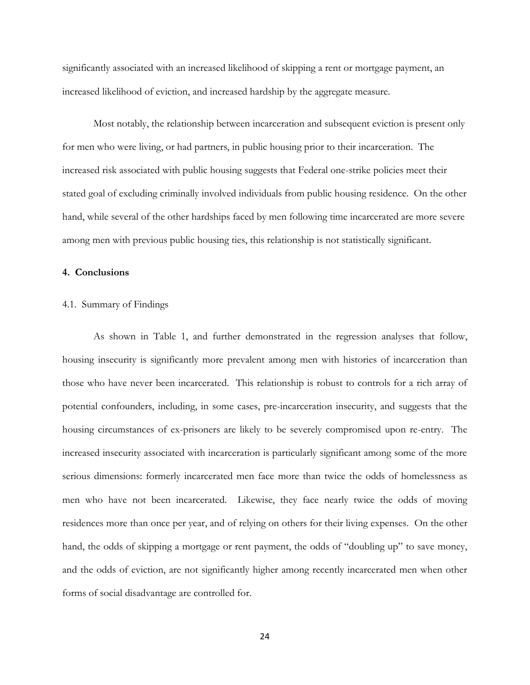significantly associated with an increased likelihood of skipping a rent or mortgage payment, an increased likelihood of eviction, and increased hardship by the aggregate measure.

Most notably, the relationship between incarceration and subsequent eviction is present only for men who were living, or had partners, in public housing prior to their incarceration. The increased risk associated with public housing suggests that Federal one-strike policies meet their stated goal of excluding criminally involved individuals from public housing residence. On the other hand, while several of the other hardships faced by men following time incarcerated are more severe among men with previous public housing ties, this relationship is not statistically significant.

## **4. Conclusions**

## 4.1. Summary of Findings

As shown in Table 1, and further demonstrated in the regression analyses that follow, housing insecurity is significantly more prevalent among men with histories of incarceration than those who have never been incarcerated. This relationship is robust to controls for a rich array of potential confounders, including, in some cases, pre-incarceration insecurity, and suggests that the housing circumstances of ex-prisoners are likely to be severely compromised upon re-entry. The increased insecurity associated with incarceration is particularly significant among some of the more serious dimensions: formerly incarcerated men face more than twice the odds of homelessness as men who have not been incarcerated. Likewise, they face nearly twice the odds of moving residences more than once per year, and of relying on others for their living expenses. On the other hand, the odds of skipping a mortgage or rent payment, the odds of "doubling up" to save money, and the odds of eviction, are not significantly higher among recently incarcerated men when other forms of social disadvantage are controlled for.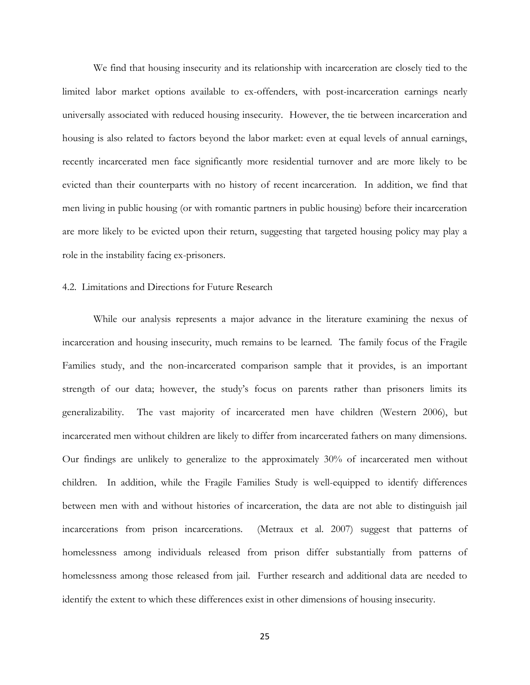We find that housing insecurity and its relationship with incarceration are closely tied to the limited labor market options available to ex-offenders, with post-incarceration earnings nearly universally associated with reduced housing insecurity. However, the tie between incarceration and housing is also related to factors beyond the labor market: even at equal levels of annual earnings, recently incarcerated men face significantly more residential turnover and are more likely to be evicted than their counterparts with no history of recent incarceration. In addition, we find that men living in public housing (or with romantic partners in public housing) before their incarceration are more likely to be evicted upon their return, suggesting that targeted housing policy may play a role in the instability facing ex-prisoners.

#### 4.2. Limitations and Directions for Future Research

While our analysis represents a major advance in the literature examining the nexus of incarceration and housing insecurity, much remains to be learned. The family focus of the Fragile Families study, and the non-incarcerated comparison sample that it provides, is an important strength of our data; however, the study's focus on parents rather than prisoners limits its generalizability. The vast majority of incarcerated men have children (Western 2006), but incarcerated men without children are likely to differ from incarcerated fathers on many dimensions. Our findings are unlikely to generalize to the approximately 30% of incarcerated men without children. In addition, while the Fragile Families Study is well-equipped to identify differences between men with and without histories of incarceration, the data are not able to distinguish jail incarcerations from prison incarcerations. (Metraux et al. 2007) suggest that patterns of homelessness among individuals released from prison differ substantially from patterns of homelessness among those released from jail. Further research and additional data are needed to identify the extent to which these differences exist in other dimensions of housing insecurity.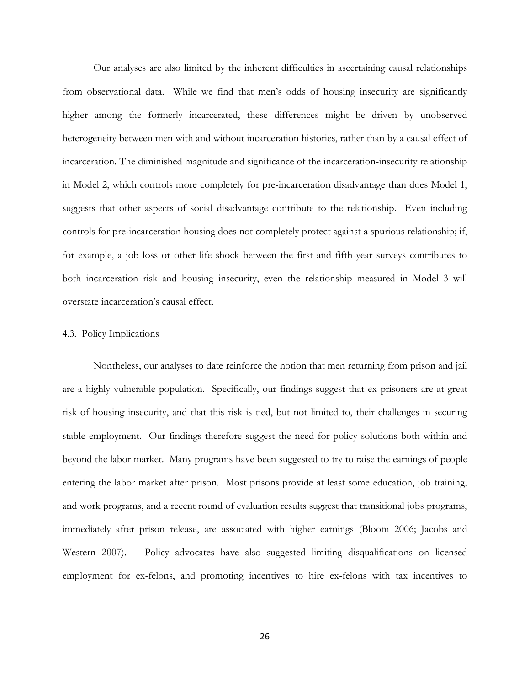Our analyses are also limited by the inherent difficulties in ascertaining causal relationships from observational data. While we find that men's odds of housing insecurity are significantly higher among the formerly incarcerated, these differences might be driven by unobserved heterogeneity between men with and without incarceration histories, rather than by a causal effect of incarceration. The diminished magnitude and significance of the incarceration-insecurity relationship in Model 2, which controls more completely for pre-incarceration disadvantage than does Model 1, suggests that other aspects of social disadvantage contribute to the relationship. Even including controls for pre-incarceration housing does not completely protect against a spurious relationship; if, for example, a job loss or other life shock between the first and fifth-year surveys contributes to both incarceration risk and housing insecurity, even the relationship measured in Model 3 will overstate incarceration's causal effect.

## 4.3. Policy Implications

Nontheless, our analyses to date reinforce the notion that men returning from prison and jail are a highly vulnerable population. Specifically, our findings suggest that ex-prisoners are at great risk of housing insecurity, and that this risk is tied, but not limited to, their challenges in securing stable employment. Our findings therefore suggest the need for policy solutions both within and beyond the labor market. Many programs have been suggested to try to raise the earnings of people entering the labor market after prison. Most prisons provide at least some education, job training, and work programs, and a recent round of evaluation results suggest that transitional jobs programs, immediately after prison release, are associated with higher earnings (Bloom 2006; Jacobs and Western 2007). Policy advocates have also suggested limiting disqualifications on licensed employment for ex-felons, and promoting incentives to hire ex-felons with tax incentives to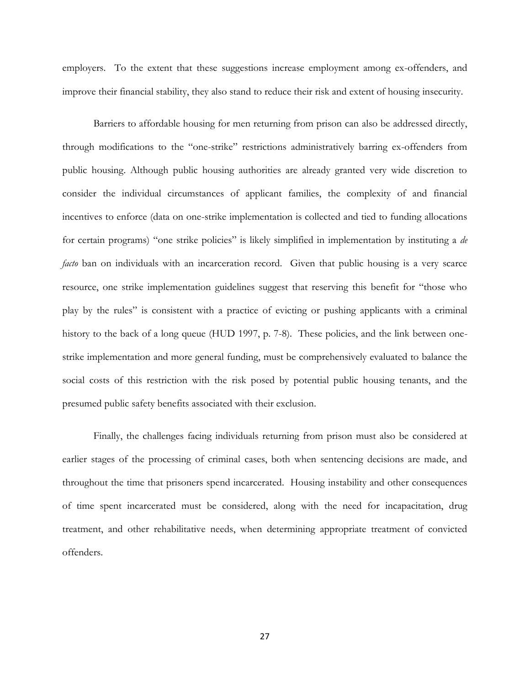employers. To the extent that these suggestions increase employment among ex-offenders, and improve their financial stability, they also stand to reduce their risk and extent of housing insecurity.

Barriers to affordable housing for men returning from prison can also be addressed directly, through modifications to the "one-strike" restrictions administratively barring ex-offenders from public housing. Although public housing authorities are already granted very wide discretion to consider the individual circumstances of applicant families, the complexity of and financial incentives to enforce (data on one-strike implementation is collected and tied to funding allocations for certain programs) "one strike policies" is likely simplified in implementation by instituting a *de facto* ban on individuals with an incarceration record. Given that public housing is a very scarce resource, one strike implementation guidelines suggest that reserving this benefit for "those who play by the rules‖ is consistent with a practice of evicting or pushing applicants with a criminal history to the back of a long queue (HUD 1997, p. 7-8). These policies, and the link between onestrike implementation and more general funding, must be comprehensively evaluated to balance the social costs of this restriction with the risk posed by potential public housing tenants, and the presumed public safety benefits associated with their exclusion.

Finally, the challenges facing individuals returning from prison must also be considered at earlier stages of the processing of criminal cases, both when sentencing decisions are made, and throughout the time that prisoners spend incarcerated. Housing instability and other consequences of time spent incarcerated must be considered, along with the need for incapacitation, drug treatment, and other rehabilitative needs, when determining appropriate treatment of convicted offenders.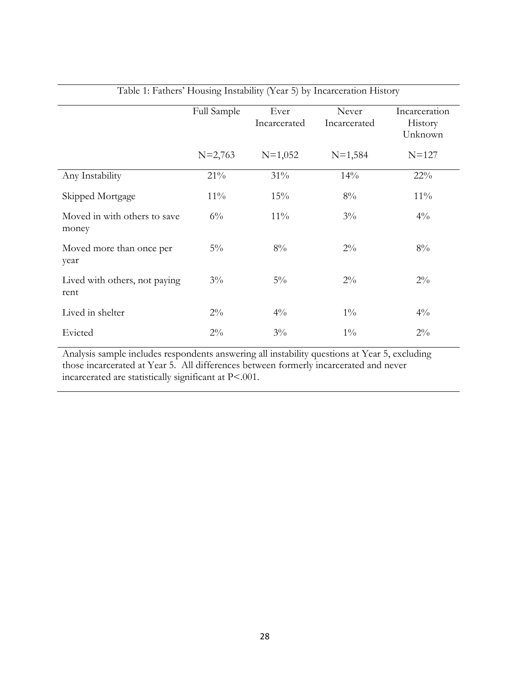|                                       |             |                      | Table 1. I attices Trousing Histability (Tear 9) by Hicarcelation Thistory |                          |
|---------------------------------------|-------------|----------------------|----------------------------------------------------------------------------|--------------------------|
|                                       | Full Sample | Ever<br>Incarcerated | Never<br>Incarcerated                                                      | Incarceration<br>History |
|                                       |             |                      |                                                                            | Unknown                  |
|                                       | $N=2,763$   | $N=1,052$            | $N=1,584$                                                                  | $N = 127$                |
| Any Instability                       | 21%         | 31%                  | 14%                                                                        | $22\%$                   |
| Skipped Mortgage                      | $11\%$      | 15%                  | $8\%$                                                                      | $11\%$                   |
| Moved in with others to save<br>money | $6\%$       | $11\%$               | $3\%$                                                                      | $4\%$                    |
| Moved more than once per<br>year      | $5\%$       | $8\%$                | $2\%$                                                                      | $8\%$                    |
| Lived with others, not paying<br>rent | $3\%$       | $5\%$                | $2\%$                                                                      | $2\%$                    |
| Lived in shelter                      | $2\%$       | $4\%$                | $1\%$                                                                      | $4\%$                    |
| Evicted                               | $2\%$       | $3\%$                | $1\%$                                                                      | $2\%$                    |

## Table 1: Fathers' Housing Instability (Year 5) by Incarceration History

Analysis sample includes respondents answering all instability questions at Year 5, excluding those incarcerated at Year 5. All differences between formerly incarcerated and never incarcerated are statistically significant at P<.001.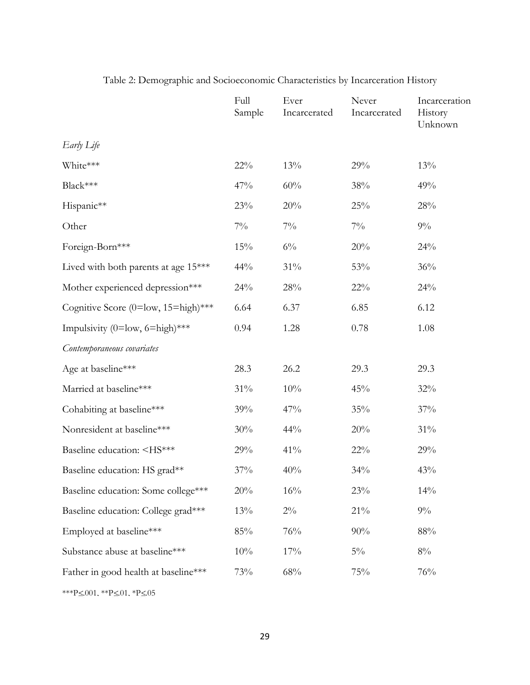|                                                                                                           | Full<br>Sample | Ever<br>Incarcerated | Never<br>Incarcerated | Incarceration<br>History<br>Unknown |
|-----------------------------------------------------------------------------------------------------------|----------------|----------------------|-----------------------|-------------------------------------|
| Early Life                                                                                                |                |                      |                       |                                     |
| White***                                                                                                  | $22\%$         | 13%                  | 29%                   | 13%                                 |
| Black***                                                                                                  | 47%            | 60%                  | 38%                   | 49%                                 |
| Hispanic**                                                                                                | 23%            | $20\%$               | 25%                   | 28%                                 |
| Other                                                                                                     | $7\%$          | $7\%$                | $7\%$                 | $9\%$                               |
| Foreign-Born***                                                                                           | 15%            | $6\%$                | 20%                   | 24%                                 |
| Lived with both parents at age 15***                                                                      | 44%            | $31\%$               | 53%                   | 36%                                 |
| Mother experienced depression***                                                                          | 24%            | $28\%$               | $22\%$                | 24%                                 |
| Cognitive Score (0=low, 15=high)***                                                                       | 6.64           | 6.37                 | 6.85                  | 6.12                                |
| Impulsivity (0=low, 6=high)***                                                                            | 0.94           | 1.28                 | 0.78                  | 1.08                                |
| Contemporaneous covariates                                                                                |                |                      |                       |                                     |
| Age at baseline***                                                                                        | 28.3           | 26.2                 | 29.3                  | 29.3                                |
| Married at baseline***                                                                                    | 31%            | $10\%$               | 45%                   | 32%                                 |
| Cohabiting at baseline***                                                                                 | 39%            | 47%                  | 35%                   | 37%                                 |
| Nonresident at baseline***                                                                                | 30%            | 44%                  | 20%                   | 31%                                 |
| Baseline education: <hs***< td=""><td>29%</td><td>41%</td><td><math>22\%</math></td><td>29%</td></hs***<> | 29%            | 41%                  | $22\%$                | 29%                                 |
| Baseline education: HS grad**                                                                             | 37%            | 40%                  | 34%                   | 43%                                 |
| Baseline education: Some college***                                                                       | 20%            | 16%                  | 23%                   | 14%                                 |
| Baseline education: College grad***                                                                       | 13%            | $2\%$                | $21\%$                | $9\%$                               |
| Employed at baseline***                                                                                   | 85%            | 76%                  | 90%                   | 88%                                 |
| Substance abuse at baseline***                                                                            | 10%            | 17%                  | $5\%$                 | $8\%$                               |
| Father in good health at baseline***                                                                      | 73%            | 68%                  | 75%                   | 76%                                 |

# Table 2: Demographic and Socioeconomic Characteristics by Incarceration History

\*\*\*P $\leq$  001, \*\*P $\leq$  01, \*P $\leq$  05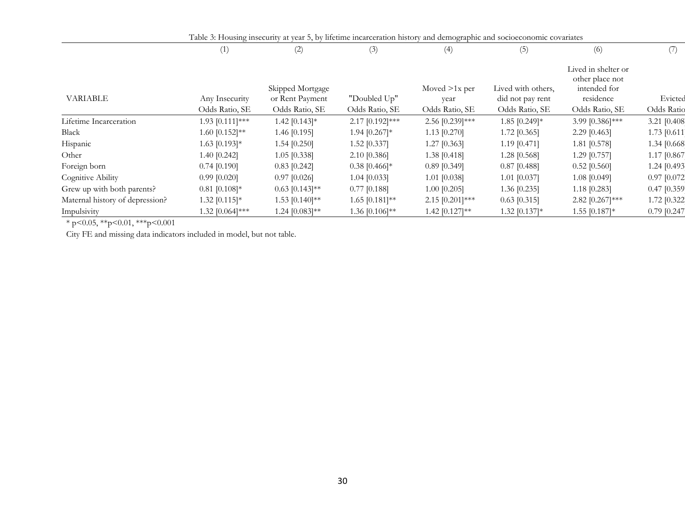|                                 |                     | Table 3: Housing insecurity at year 5, by lifetime incarceration history and demographic and socioeconomic covariates |                   |                         |                                        |                                                                     |                |
|---------------------------------|---------------------|-----------------------------------------------------------------------------------------------------------------------|-------------------|-------------------------|----------------------------------------|---------------------------------------------------------------------|----------------|
|                                 | (1)                 | (2)                                                                                                                   | (3)               | (4)                     | (5)                                    | (6)                                                                 | (7)            |
| <b>VARIABLE</b>                 | Any Insecurity      | Skipped Mortgage<br>or Rent Payment                                                                                   | "Doubled Up"      | Moved $>1x$ per<br>year | Lived with others,<br>did not pay rent | Lived in shelter or<br>other place not<br>intended for<br>residence | Evicted        |
|                                 | Odds Ratio, SE      | Odds Ratio, SE                                                                                                        | Odds Ratio, SE    | Odds Ratio, SE          | Odds Ratio, SE                         | Odds Ratio, SE                                                      | Odds Ratio     |
| Lifetime Incarceration          | 1.93 $[0.111]$ ***  | 1.42 $[0.143]*$                                                                                                       | $2.17$ [0.192]*** | 2.56 [0.239]***         | 1.85 [0.249]*                          | 3.99 [0.386]***                                                     | 3.21 [0.408]   |
| Black                           | 1.60 $[0.152]^{**}$ | 1.46 [0.195]                                                                                                          | 1.94 $[0.267]*$   | 1.13 $[0.270]$          | $1.72$ [0.365]                         | 2.29 [0.463]                                                        | 1.73 [0.611]   |
| Hispanic                        | $1.63$ [0.193]*     | $1.54$ [0.250]                                                                                                        | $1.52$ [0.337]    | $1.27$ [0.363]          | 1.19 [0.471]                           | 1.81 [0.578]                                                        | 1.34 [0.668]   |
| Other                           | 1.40 [0.242]        | $1.05$ [0.338]                                                                                                        | 2.10 [0.386]      | $1.38$ [0.418]          | 1.28 [0.568]                           | $1.29$ [0.757]                                                      | 1.17 [0.867    |
| Foreign born                    | $0.74$ [0.190]      | $0.83$ [0.242]                                                                                                        | $0.38$ [0.466]*   | $0.89$ [0.349]          | $0.87$ [0.488]                         | $0.52$ [0.560]                                                      | 1.24 [0.493]   |
| Cognitive Ability               | $0.99$ [0.020]      | $0.97$ [0.026]                                                                                                        | $1.04$ [0.033]    | 1.01 [0.038]            | $1.01$ [0.037]                         | 1.08 [0.049]                                                        | $0.97$ [0.072] |
| Grew up with both parents?      | $0.81$ [0.108]*     | $0.63$ [0.143]**                                                                                                      | $0.77$ [0.188]    | $1.00$ [0.205]          | 1.36 [0.235]                           | $1.18$ [0.283]                                                      | $0.47$ [0.359] |
| Maternal history of depression? | $1.32$ [0.115]*     | 1.53 $[0.140]$ **                                                                                                     | $1.65$ [0.181]**  | $2.15$ [0.201]***       | $0.63$ [0.315]                         | 2.82 $[0.267]***$                                                   | 1.72 [0.322]   |
| Impulsivity                     | $.32$ [0.064]***    | $1.24$ [0.083]**                                                                                                      | 1.36 $[0.106]$ ** | 1.42 $[0.127]**$        | 1.32 $[0.137]*$                        | $1.55$ [0.187]*                                                     | $0.79$ [0.247] |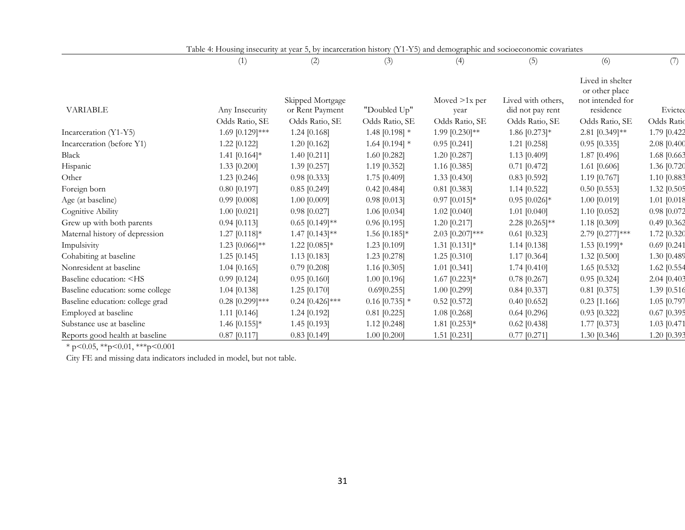|                                                                                                                                                                                                                                                                        | Table 4: Housing insecurity at year 5, by incarceration history (Y1-Y5) and demographic and socioeconomic covariates |                                     |                    |                         |                                        |                                                                     |               |
|------------------------------------------------------------------------------------------------------------------------------------------------------------------------------------------------------------------------------------------------------------------------|----------------------------------------------------------------------------------------------------------------------|-------------------------------------|--------------------|-------------------------|----------------------------------------|---------------------------------------------------------------------|---------------|
|                                                                                                                                                                                                                                                                        | (1)                                                                                                                  | (2)                                 | (3)                | (4)                     | (5)                                    | (6)                                                                 | (7)           |
| <b>VARIABLE</b>                                                                                                                                                                                                                                                        | Any Insecurity                                                                                                       | Skipped Mortgage<br>or Rent Payment | "Doubled Up"       | Moved $>1x$ per<br>year | Lived with others.<br>did not pay rent | Lived in shelter<br>or other place<br>not intended for<br>residence | Evicted       |
|                                                                                                                                                                                                                                                                        | Odds Ratio, SE                                                                                                       | Odds Ratio, SE                      | Odds Ratio, SE     | Odds Ratio, SE          | Odds Ratio, SE                         | Odds Ratio, SE                                                      | Odds Ratio    |
| Incarceration (Y1-Y5)                                                                                                                                                                                                                                                  | 1.69 [0.129]***                                                                                                      | 1.24 [0.168]                        | 1.48 $[0.198]$ *   | 1.99 $[0.230]$ **       | 1.86 $[0.273]*$                        | 2.81 $[0.349]$ **                                                   | 1.79 [0.422   |
| Incarceration (before Y1)                                                                                                                                                                                                                                              | 1.22 [0.122]                                                                                                         | 1.20 $[0.162]$                      | 1.64 $[0.194]$ *   | $0.95$ [0.241]          | $1.21$ [0.258]                         | $0.95$ [0.335]                                                      | 2.08 [0.400   |
| Black                                                                                                                                                                                                                                                                  | 1.41 $[0.164]*$                                                                                                      | 1.40 [0.211]                        | $1.60$ [0.282]     | 1.20 [0.287]            | $1.13$ [0.409]                         | 1.87 [0.496]                                                        | 1.68 [0.663   |
| Hispanic                                                                                                                                                                                                                                                               | $1.33$ [0.200]                                                                                                       | 1.39 [0.257]                        | $1.19$ [0.352]     | $1.16$ [0.385]          | $0.71$ [0.472]                         | 1.61 $[0.606]$                                                      | 1.36 [0.720   |
| Other                                                                                                                                                                                                                                                                  | $1.23$ [0.246]                                                                                                       | $0.98$ [0.333]                      | 1.75 [0.409]       | 1.33 $[0.430]$          | $0.83$ [0.592]                         | 1.19 [0.767]                                                        | 1.10 [0.883   |
| Foreign born                                                                                                                                                                                                                                                           | $0.80$ [0.197]                                                                                                       | $0.85$ [0.249]                      | $0.42$ [0.484]     | $0.81$ [0.383]          | $1.14$ [0.522]                         | $0.50$ [0.553]                                                      | 1.32 [0.505   |
| Age (at baseline)                                                                                                                                                                                                                                                      | $0.99$ [0.008]                                                                                                       | 1.00 [0.009]                        | $0.98$ [0.013]     | $0.97$ [0.015]*         | $0.95$ [0.026]*                        | 1.00 [0.019]                                                        | $1.01$ [0.018 |
| Cognitive Ability                                                                                                                                                                                                                                                      | $1.00$ [0.021]                                                                                                       | $0.98$ [0.027]                      | 1.06 [0.034]       | $1.02$ [0.040]          | $1.01$ [0.040]                         | 1.10 [0.052]                                                        | 0.98 [0.072   |
| Grew up with both parents                                                                                                                                                                                                                                              | $0.94$ [0.113]                                                                                                       | $0.65$ [0.149]**                    | $0.96$ [0.195]     | 1.20 [0.217]            | 2.28 $[0.265]^{**}$                    | 1.18 [0.309]                                                        | 0.49 [0.362   |
| Maternal history of depression                                                                                                                                                                                                                                         | $1.27$ [0.118]*                                                                                                      | $1.47$ [0.143]**                    | 1.56 $[0.185]*$    | $2.03$ [0.207]***       | $0.61$ [0.323]                         | 2.79 [0.277]***                                                     | 1.72 [0.320   |
| Impulsivity                                                                                                                                                                                                                                                            | 1.23 $[0.066]$ **                                                                                                    | 1.22 $[0.085]*$                     | 1.23 [0.109]       | $1.31$ [0.131]*         | $1.14$ [0.138]                         | 1.53 [0.199]*                                                       | $0.69$ [0.241 |
| Cohabiting at baseline                                                                                                                                                                                                                                                 | $1.25$ [0.145]                                                                                                       | $1.13$ [0.183]                      | 1.23 [0.278]       | $1.25$ [0.310]          | 1.17 [0.364]                           | 1.32 [0.500]                                                        | 1.30 [0.489   |
| Nonresident at baseline                                                                                                                                                                                                                                                | $1.04$ [0.165]                                                                                                       | $0.79$ [0.208]                      | 1.16 $[0.305]$     | $1.01$ [0.341]          | 1.74 [0.410]                           | 1.65 [0.532]                                                        | 1.62 [0.554   |
| Baseline education: <hs< td=""><td><math>0.99</math> [0.124]</td><td><math>0.95</math> [0.160]</td><td><math>1.00</math> [0.196]</td><td><math>1.67</math> [0.223]*</td><td><math>0.78</math> [0.267]</td><td><math>0.95</math> [0.324]</td><td>2.04 [0.403</td></hs<> | $0.99$ [0.124]                                                                                                       | $0.95$ [0.160]                      | $1.00$ [0.196]     | $1.67$ [0.223]*         | $0.78$ [0.267]                         | $0.95$ [0.324]                                                      | 2.04 [0.403   |
| Baseline education: some college                                                                                                                                                                                                                                       | $1.04$ [0.138]                                                                                                       | 1.25 $[0.170]$                      | 0.69[0.255]        | $1.00$ [0.299]          | $0.84$ [0.337]                         | $0.81$ [0.375]                                                      | 1.39 [0.516   |
| Baseline education: college grad                                                                                                                                                                                                                                       | $0.28$ [0.299]***                                                                                                    | $0.24$ [0.426]***                   | $0.16$ [0.735] $*$ | $0.52$ [0.572]          | $0.40$ [0.652]                         | $0.23$ [1.166]                                                      | 1.05 [0.797   |
| Employed at baseline                                                                                                                                                                                                                                                   | $1.11$ [0.146]                                                                                                       | $1.24$ [0.192]                      | $0.81$ [0.225]     | 1.08 [0.268]            | $0.64$ [0.296]                         | $0.93$ [0.322]                                                      | $0.67$ [0.395 |
| Substance use at baseline                                                                                                                                                                                                                                              | 1.46 $[0.155]$ *                                                                                                     | $1.45$ [0.193]                      | 1.12 [0.248]       | $1.81$ [0.253]*         | $0.62$ [0.438]                         | 1.77 [0.373]                                                        | 1.03 [0.471   |
| Reports good health at baseline                                                                                                                                                                                                                                        | $0.87$ [0.117]                                                                                                       | $0.83$ [0.149]                      | $1.00$ [0.200]     | $1.51$ [0.231]          | $0.77$ [0.271]                         | 1.30 [0.346]                                                        | 1.20 [0.393   |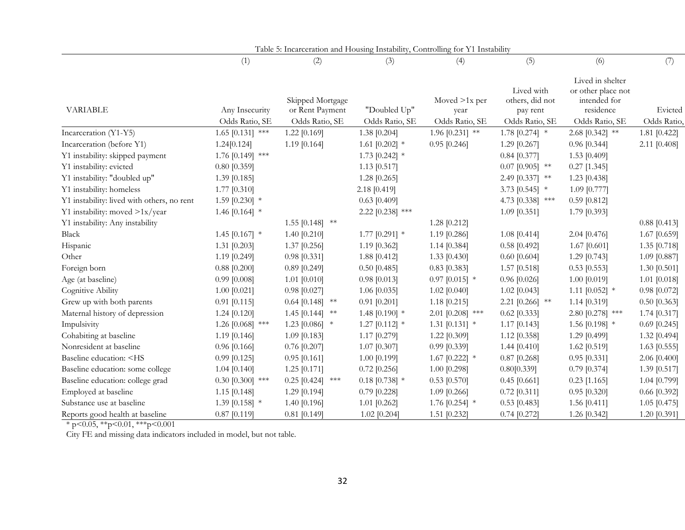|                                                                                                                                                                                                                                                             |                                  | Table 5: Incarceration and Housing Instability, Controlling for Y1 Instability |                                |                                           |                                                             |                                                                                       |                        |
|-------------------------------------------------------------------------------------------------------------------------------------------------------------------------------------------------------------------------------------------------------------|----------------------------------|--------------------------------------------------------------------------------|--------------------------------|-------------------------------------------|-------------------------------------------------------------|---------------------------------------------------------------------------------------|------------------------|
|                                                                                                                                                                                                                                                             | (1)                              | (2)                                                                            | (3)                            | (4)                                       | (5)                                                         | (6)                                                                                   | (7)                    |
| <b>VARIABLE</b>                                                                                                                                                                                                                                             | Any Insecurity<br>Odds Ratio, SE | Skipped Mortgage<br>or Rent Payment<br>Odds Ratio, SE                          | "Doubled Up"<br>Odds Ratio, SE | Moved $>1x$ per<br>year<br>Odds Ratio, SE | Lived with<br>others, did not<br>pay rent<br>Odds Ratio, SE | Lived in shelter<br>or other place not<br>intended for<br>residence<br>Odds Ratio, SE | Evicted<br>Odds Ratio, |
| Incarceration (Y1-Y5)                                                                                                                                                                                                                                       | $1.65$ [0.131] ***               | $1.22$ [0.169]                                                                 | 1.38 [0.204]                   | 1.96 $[0.231]$ **                         | 1.78 $[0.274]$ *                                            | 2.68 $[0.342]$ **                                                                     | 1.81 [0.422]           |
| Incarceration (before Y1)                                                                                                                                                                                                                                   | 1.24[0.124]                      | $1.19$ [0.164]                                                                 | 1.61 $[0.202]$ *               | $0.95$ [0.246]                            | 1.29 [0.267]                                                | $0.96$ [0.344]                                                                        | 2.11 [0.408]           |
| Y1 instability: skipped payment                                                                                                                                                                                                                             | 1.76 $[0.149]$ ***               |                                                                                | 1.73 $[0.242]$ *               |                                           | $0.84$ [0.377]                                              | $1.53$ [0.409]                                                                        |                        |
| Y1 instability: evicted                                                                                                                                                                                                                                     | $0.80$ [0.359]                   |                                                                                | $1.13$ [0.517]                 |                                           | $0.07$ [0.905] **                                           | $0.27$ [1.345]                                                                        |                        |
| Y1 instability: "doubled up"                                                                                                                                                                                                                                | 1.39 [0.185]                     |                                                                                | $1.28$ [0.265]                 |                                           | 2.49 [0.337] **                                             | 1.23 [0.438]                                                                          |                        |
| Y1 instability: homeless                                                                                                                                                                                                                                    | 1.77 [0.310]                     |                                                                                | 2.18 [0.419]                   |                                           | 3.73 $[0.545]$ *                                            | 1.09 [0.777]                                                                          |                        |
| Y1 instability: lived with others, no rent                                                                                                                                                                                                                  | 1.59 [0.230] $*$                 |                                                                                | $0.63$ [0.409]                 |                                           | 4.73 [0.338] ***                                            | $0.59$ [0.812]                                                                        |                        |
| Y1 instability: moved >1x/year                                                                                                                                                                                                                              | 1.46 $[0.164]$ *                 |                                                                                | 2.22 [0.238] ***               |                                           | 1.09 [0.351]                                                | 1.79 [0.393]                                                                          |                        |
| Y1 instability: Any instability                                                                                                                                                                                                                             |                                  | 1.55 $[0.148]$ **                                                              |                                | 1.28 [0.212]                              |                                                             |                                                                                       | $0.88$ [0.413]         |
| Black                                                                                                                                                                                                                                                       | 1.45 $[0.167]$ *                 | 1.40 $[0.210]$                                                                 | 1.77 $[0.291]$ *               | 1.19 [0.286]                              | 1.08 [0.414]                                                | $2.04$ [0.476]                                                                        | 1.67 [0.659]           |
| Hispanic                                                                                                                                                                                                                                                    | $1.31$ [0.203]                   | $1.37$ [0.256]                                                                 | 1.19 [0.362]                   | 1.14 [0.384]                              | $0.58$ [0.492]                                              | $1.67$ [0.601]                                                                        | 1.35 [0.718]           |
| Other                                                                                                                                                                                                                                                       | 1.19 [0.249]                     | $0.98$ [0.331]                                                                 | 1.88 [0.412]                   | $1.33$ [0.430]                            | $0.60$ [0.604]                                              | $1.29$ [0.743]                                                                        | 1.09 [0.887]           |
| Foreign born                                                                                                                                                                                                                                                | $0.88$ [0.200]                   | $0.89$ [0.249]                                                                 | $0.50$ [0.485]                 | $0.83$ [0.383]                            | 1.57 [0.518]                                                | $0.53$ [0.553]                                                                        | 1.30 $[0.501]$         |
| Age (at baseline)                                                                                                                                                                                                                                           | $0.99$ [0.008]                   | $1.01$ [0.010]                                                                 | $0.98$ [0.013]                 | $0.97$ [0.015] *                          | $0.96$ [0.026]                                              | $1.00$ [0.019]                                                                        | 1.01 [0.018]           |
| Cognitive Ability                                                                                                                                                                                                                                           | $1.00$ [0.021]                   | $0.98$ [0.027]                                                                 | $1.06$ [0.035]                 | $1.02$ [0.040]                            | $1.02$ [0.043]                                              | 1.11 $[0.052]$ *                                                                      | $0.98$ [0.072]         |
| Grew up with both parents                                                                                                                                                                                                                                   | $0.91$ [0.115]                   | $0.64$ [0.148] **                                                              | $0.91$ [0.201]                 | $1.18$ [0.215]                            | 2.21 $[0.266]$ **                                           | 1.14 $[0.319]$                                                                        | $0.50$ [0.363]         |
| Maternal history of depression                                                                                                                                                                                                                              | 1.24 [0.120]                     | 1.45 $[0.144]$ **                                                              | 1.48 $[0.190]$ *               | 2.01 [0.208] ***                          | $0.62$ [0.333]                                              | 2.80 $[0.278]$ ***                                                                    | 1.74 [0.317]           |
| Impulsivity                                                                                                                                                                                                                                                 | 1.26 $[0.068]$ ***               | 1.23 $[0.086]$ *                                                               | 1.27 $[0.112]$ *               | 1.31 $[0.131]$ *                          | 1.17 [0.143]                                                | 1.56 [0.198] $*$                                                                      | $0.69$ [0.245]         |
| Cohabiting at baseline                                                                                                                                                                                                                                      | 1.19 [0.146]                     | $1.09$ [0.183]                                                                 | 1.17 [0.279]                   | $1.22$ [0.309]                            | 1.12 [0.358]                                                | 1.29 [0.499]                                                                          | 1.32 [0.494]           |
| Nonresident at baseline                                                                                                                                                                                                                                     | $0.96$ [0.166]                   | $0.76$ [0.207]                                                                 | $1.07$ [0.307]                 | $0.99$ [0.339]                            | 1.44 [0.410]                                                | 1.62 $[0.519]$                                                                        | $1.63$ [0.555]         |
| Baseline education: <hs< td=""><td><math>0.99</math> [0.125]</td><td><math>0.95</math> [0.161]</td><td>1.00 [0.199]</td><td>1.67 <math>[0.222]</math> *</td><td><math>0.87</math> [0.268]</td><td><math>0.95</math> [0.331]</td><td>2.06 [0.400]</td></hs<> | $0.99$ [0.125]                   | $0.95$ [0.161]                                                                 | 1.00 [0.199]                   | 1.67 $[0.222]$ *                          | $0.87$ [0.268]                                              | $0.95$ [0.331]                                                                        | 2.06 [0.400]           |
| Baseline education: some college                                                                                                                                                                                                                            | 1.04 [0.140]                     | $1.25$ [0.171]                                                                 | $0.72$ [0.256]                 | 1.00 [0.298]                              | 0.80[0.339]                                                 | $0.79$ [0.374]                                                                        | 1.39 [0.517]           |
| Baseline education: college grad                                                                                                                                                                                                                            | $0.30$ [0.300] ***               | $0.25$ [0.424] ***                                                             | 0.18 [0.738] $*$               | $0.53$ [0.570]                            | $0.45$ [0.661]                                              | $0.23$ [1.165]                                                                        | 1.04 [0.799]           |
| Employed at baseline                                                                                                                                                                                                                                        | $1.15$ [0.148]                   | 1.29 [0.194]                                                                   | $0.79$ [0.228]                 | 1.09 [0.266]                              | $0.72$ [0.311]                                              | $0.95$ [0.320]                                                                        | $0.66$ [0.392]         |
| Substance use at baseline                                                                                                                                                                                                                                   | 1.39 [0.158] $*$                 | 1.40 [0.196]                                                                   | $1.01$ [0.262]                 | 1.76 $[0.254]$ *                          | $0.53$ [0.483]                                              | 1.56 $[0.411]$                                                                        | $1.05$ [0.475]         |
| Reports good health at baseline                                                                                                                                                                                                                             | $0.87$ [0.119]                   | $0.81$ [0.149]                                                                 | $1.02$ [0.204]                 | 1.51 [0.232]                              | $0.74$ [0.272]                                              | 1.26 [0.342]                                                                          | 1.20 [0.391]           |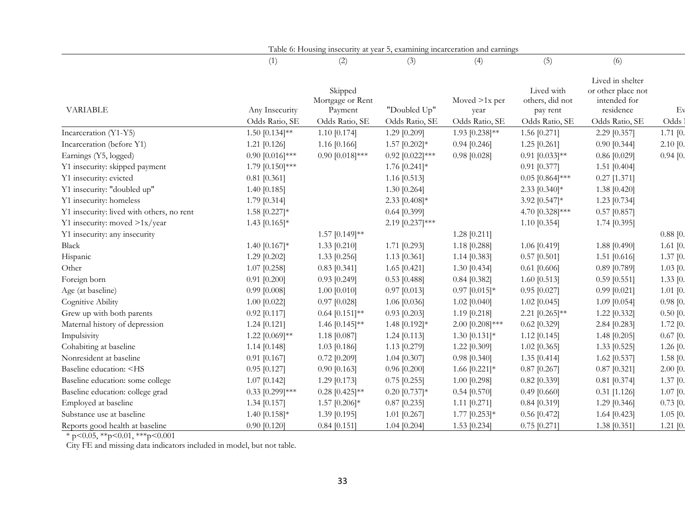|                                                                                                                                                                                                                                                                                  |                    | Table 6: Housing insecurity at year 5, examining incarceration and earnings |                   |                         |                                           |                                                                     |            |
|----------------------------------------------------------------------------------------------------------------------------------------------------------------------------------------------------------------------------------------------------------------------------------|--------------------|-----------------------------------------------------------------------------|-------------------|-------------------------|-------------------------------------------|---------------------------------------------------------------------|------------|
|                                                                                                                                                                                                                                                                                  | (1)                | (2)                                                                         | (3)               | (4)                     | (5)                                       | (6)                                                                 |            |
| <b>VARIABLE</b>                                                                                                                                                                                                                                                                  | Any Insecurity     | Skipped<br>Mortgage or Rent<br>Payment                                      | "Doubled Up"      | Moved $>1x$ per<br>year | Lived with<br>others, did not<br>pay rent | Lived in shelter<br>or other place not<br>intended for<br>residence | Ev         |
|                                                                                                                                                                                                                                                                                  | Odds Ratio, SE     | Odds Ratio, SE                                                              | Odds Ratio, SE    | Odds Ratio, SE          | Odds Ratio, SE                            | Odds Ratio, SE                                                      | Odds       |
| Incarceration (Y1-Y5)                                                                                                                                                                                                                                                            | $1.50$ [0.134]**   | $1.10$ [0.174]                                                              | 1.29 [0.209]      | 1.93 $[0.238]$ **       | 1.56 [0.271]                              | 2.29 [0.357]                                                        | $1.71$ [0. |
| Incarceration (before Y1)                                                                                                                                                                                                                                                        | $1.21$ [0.126]     | 1.16 $[0.166]$                                                              | $1.57$ [0.202]*   | $0.94$ [0.246]          | $1.25$ [0.261]                            | $0.90$ [0.344]                                                      | 2.10 [0.   |
| Earnings (Y5, logged)                                                                                                                                                                                                                                                            | $0.90$ [0.016]***  | $0.90$ [0.018]***                                                           | $0.92$ [0.022]*** | $0.98$ [0.028]          | $0.91$ [0.033]**                          | $0.86$ [0.029]                                                      | $0.94$ [0. |
| Y1 insecurity: skipped payment                                                                                                                                                                                                                                                   | 1.79 $[0.150]$ *** |                                                                             | 1.76 [0.241]*     |                         | $0.91$ [0.377]                            | $1.51$ [0.404]                                                      |            |
| Y1 insecurity: evicted                                                                                                                                                                                                                                                           | $0.81$ [0.361]     |                                                                             | 1.16 $[0.513]$    |                         | $0.05$ [0.864]***                         | $0.27$ [1.371]                                                      |            |
| Y1 insecurity: "doubled up"                                                                                                                                                                                                                                                      | 1.40 $[0.185]$     |                                                                             | 1.30 [0.264]      |                         | $2.33$ [0.340]*                           | 1.38 [0.420]                                                        |            |
| Y1 insecurity: homeless                                                                                                                                                                                                                                                          | 1.79 [0.314]       |                                                                             | 2.33 $[0.408]*$   |                         | 3.92 [0.547]*                             | 1.23 [0.734]                                                        |            |
| Y1 insecurity: lived with others, no rent                                                                                                                                                                                                                                        | 1.58 [0.227]*      |                                                                             | $0.64$ [0.399]    |                         | 4.70 [0.328]***                           | $0.57$ [0.857]                                                      |            |
| Y1 insecurity: moved >1x/year                                                                                                                                                                                                                                                    | 1.43 $[0.165]*$    |                                                                             | 2.19 $[0.237]***$ |                         | 1.10 [0.354]                              | 1.74 [0.395]                                                        |            |
| Y1 insecurity: any insecurity                                                                                                                                                                                                                                                    |                    | $1.57$ [0.149]**                                                            |                   | 1.28 [0.211]            |                                           |                                                                     | $0.88$ [0. |
| Black                                                                                                                                                                                                                                                                            | 1.40 $[0.167]*$    | $1.33$ [0.210]                                                              | 1.71 [0.293]      | 1.18 [0.288]            | 1.06 [0.419]                              | 1.88 [0.490]                                                        | $1.61$ [0. |
| Hispanic                                                                                                                                                                                                                                                                         | 1.29 [0.202]       | $1.33$ [0.256]                                                              | 1.13 $[0.361]$    | $1.14$ [0.383]          | $0.57$ [0.501]                            | 1.51 [0.616]                                                        | 1.37 [0.   |
| Other                                                                                                                                                                                                                                                                            | $1.07$ [0.258]     | $0.83$ [0.341]                                                              | $1.65$ [0.421]    | $1.30$ [0.434]          | $0.61$ [0.606]                            | $0.89$ [0.789]                                                      | $1.03$ [0. |
| Foreign born                                                                                                                                                                                                                                                                     | $0.91$ [0.200]     | $0.93$ [0.249]                                                              | $0.53$ [0.488]    | $0.84$ [0.382]          | 1.60 $[0.513]$                            | $0.59$ [0.551]                                                      | 1.33 [0.   |
| Age (at baseline)                                                                                                                                                                                                                                                                | $0.99$ [0.008]     | $1.00$ [0.010]                                                              | $0.97$ [0.013]    | $0.97$ [0.015]*         | $0.95$ [0.027]                            | $0.99$ [0.021]                                                      | $1.01$ [0. |
| Cognitive Ability                                                                                                                                                                                                                                                                | $1.00$ [0.022]     | $0.97$ [0.028]                                                              | 1.06 [0.036]      | 1.02 [0.040]            | $1.02$ [0.045]                            | 1.09 [0.054]                                                        | 0.98 [0.   |
| Grew up with both parents                                                                                                                                                                                                                                                        | $0.92$ [0.117]     | $0.64$ [0.151]**                                                            | $0.93$ [0.203]    | 1.19 [0.218]            | 2.21 $[0.265]$ **                         | 1.22 [0.332]                                                        | $0.50$ [0. |
| Maternal history of depression                                                                                                                                                                                                                                                   | 1.24 [0.121]       | 1.46 $[0.145]$ **                                                           | 1.48 [0.192]*     | $2.00$ [0.208]***       | $0.62$ [0.329]                            | 2.84 [0.283]                                                        | $1.72$ [0. |
| Impulsivity                                                                                                                                                                                                                                                                      | 1.22 $[0.069]$ **  | $1.18$ [0.087]                                                              | $1.24$ [0.113]    | 1.30 $[0.131]*$         | $1.12$ [0.145]                            | $1.48$ [0.205]                                                      | $0.67$ [0. |
| Cohabiting at baseline                                                                                                                                                                                                                                                           | 1.14 $[0.148]$     | $1.03$ [0.186]                                                              | 1.13 [0.279]      | $1.22$ [0.309]          | $1.02$ [0.365]                            | 1.33 [0.525]                                                        | 1.26 [0.   |
| Nonresident at baseline                                                                                                                                                                                                                                                          | $0.91$ [0.167]     | $0.72$ [0.209]                                                              | 1.04 [0.307]      | $0.98$ [0.340]          | 1.35 $[0.414]$                            | 1.62 [0.537]                                                        | $1.58$ [0. |
| Baseline education: <hs< td=""><td><math>0.95</math> [0.127]</td><td><math>0.90</math> [0.163]</td><td><math>0.96</math> [0.200]</td><td>1.66 <math>[0.221]</math>*</td><td><math>0.87</math> [0.267]</td><td><math>0.87</math> [0.321]</td><td><math>2.00</math> [0.</td></hs<> | $0.95$ [0.127]     | $0.90$ [0.163]                                                              | $0.96$ [0.200]    | 1.66 $[0.221]$ *        | $0.87$ [0.267]                            | $0.87$ [0.321]                                                      | $2.00$ [0. |
| Baseline education: some college                                                                                                                                                                                                                                                 | $1.07$ [0.142]     | 1.29 [0.173]                                                                | $0.75$ [0.255]    | 1.00 [0.298]            | $0.82$ [0.339]                            | $0.81$ [0.374]                                                      | 1.37 [0.   |
| Baseline education: college grad                                                                                                                                                                                                                                                 | $0.33$ [0.299]***  | $0.28$ [0.425]**                                                            | $0.20$ [0.737]*   | $0.54$ [0.570]          | $0.49$ [0.660]                            | $0.31$ [1.126]                                                      | $1.07$ [0. |
| Employed at baseline                                                                                                                                                                                                                                                             | $1.34$ [0.157]     | $1.57$ [0.206]*                                                             | $0.87$ [0.235]    | $1.11$ [0.271]          | $0.84$ [0.319]                            | 1.29 [0.346]                                                        | $0.73$ [0. |
| Substance use at baseline                                                                                                                                                                                                                                                        | 1.40 $[0.158]*$    | $1.39$ [0.195]                                                              | 1.01 [0.267]      | $1.77$ [0.253]*         | $0.56$ [0.472]                            | 1.64 [0.423]                                                        | $1.05$ [0. |
| Reports good health at baseline                                                                                                                                                                                                                                                  | $0.90$ [0.120]     | $0.84$ [0.151]                                                              | 1.04 [0.204]      | 1.53 [0.234]            | $0.75$ [0.271]                            | 1.38 [0.351]                                                        | $1.21$ [0. |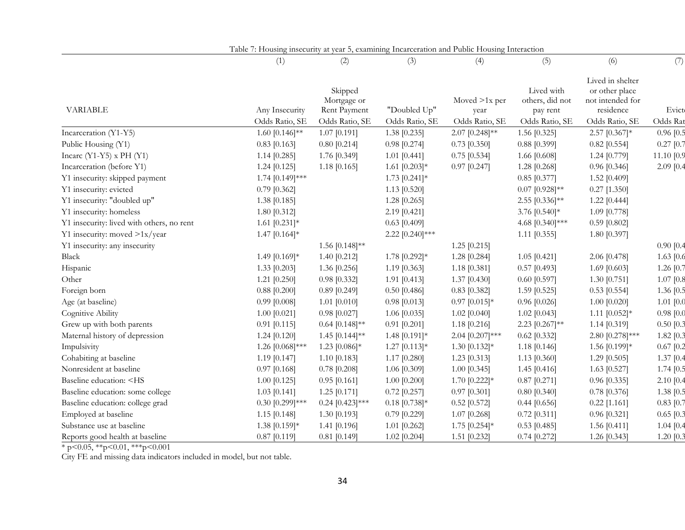|                                                                                                                                                                                                                                                                                   | (1)                              | (2)                                                      | (3)                            | (4)                                       | (5)                                                         | (6)                                                                                   | (7)               |
|-----------------------------------------------------------------------------------------------------------------------------------------------------------------------------------------------------------------------------------------------------------------------------------|----------------------------------|----------------------------------------------------------|--------------------------------|-------------------------------------------|-------------------------------------------------------------|---------------------------------------------------------------------------------------|-------------------|
| <b>VARIABLE</b>                                                                                                                                                                                                                                                                   | Any Insecurity<br>Odds Ratio, SE | Skipped<br>Mortgage or<br>Rent Payment<br>Odds Ratio, SE | "Doubled Up"<br>Odds Ratio, SE | Moved $>1x$ per<br>year<br>Odds Ratio, SE | Lived with<br>others, did not<br>pay rent<br>Odds Ratio, SE | Lived in shelter<br>or other place<br>not intended for<br>residence<br>Odds Ratio, SE | Evict<br>Odds Rat |
| Incarceration (Y1-Y5)                                                                                                                                                                                                                                                             | 1.60 $[0.146]$ **                | $1.07$ [0.191]                                           | 1.38 [0.235]                   | $2.07$ [0.248]**                          | 1.56 [0.325]                                                | 2.57 [0.367]*                                                                         | $0.96$ [0.5       |
| Public Housing (Y1)                                                                                                                                                                                                                                                               | $0.83$ [0.163]                   | $0.80$ [0.214]                                           | $0.98$ [0.274]                 | $0.73$ [0.350]                            | $0.88$ [0.399]                                              | $0.82$ [0.554]                                                                        | $0.27$ [0.7       |
| Incarc $(Y1-Y5)$ x PH $(Y1)$                                                                                                                                                                                                                                                      | $1.14$ [0.285]                   | 1.76 [0.349]                                             | $1.01$ [0.441]                 | $0.75$ [0.534]                            | 1.66 [0.608]                                                | 1.24 [0.779]                                                                          | 11.10 [0.9        |
| Incarceration (before Y1)                                                                                                                                                                                                                                                         | $1.24$ [0.125]                   | $1.18$ [0.165]                                           | 1.61 $[0.203]*$                | $0.97$ [0.247]                            | 1.28 [0.268]                                                | $0.96$ [0.346]                                                                        | $2.09$ [0.4       |
| Y1 insecurity: skipped payment                                                                                                                                                                                                                                                    | 1.74 [0.149]***                  |                                                          | $1.73$ [0.241]*                |                                           | $0.85$ [0.377]                                              | 1.52 [0.409]                                                                          |                   |
| Y1 insecurity: evicted                                                                                                                                                                                                                                                            | $0.79$ [0.362]                   |                                                          | 1.13 $[0.520]$                 |                                           | $0.07$ [0.928]**                                            | $0.27$ [1.350]                                                                        |                   |
| Y1 insecurity: "doubled up"                                                                                                                                                                                                                                                       | 1.38 [0.185]                     |                                                          | $1.28$ [0.265]                 |                                           | 2.55 [0.336]**                                              | $1.22$ [0.444]                                                                        |                   |
| Y1 insecurity: homeless                                                                                                                                                                                                                                                           | 1.80 [0.312]                     |                                                          | 2.19 [0.421]                   |                                           | 3.76 [0.540]*                                               | 1.09 [0.778]                                                                          |                   |
| Y1 insecurity: lived with others, no rent                                                                                                                                                                                                                                         | 1.61 $[0.231]*$                  |                                                          | $0.63$ [0.409]                 |                                           | 4.68 [0.340]***                                             | $0.59$ [0.802]                                                                        |                   |
| Y1 insecurity: moved >1x/year                                                                                                                                                                                                                                                     | 1.47 $[0.164]$ *                 |                                                          | 2.22 [0.240]***                |                                           | $1.11$ [0.355]                                              | 1.80 [0.397]                                                                          |                   |
| Y1 insecurity: any insecurity                                                                                                                                                                                                                                                     |                                  | 1.56 [0.148]**                                           |                                | $1.25$ [0.215]                            |                                                             |                                                                                       | 0.90 [0.4]        |
| Black                                                                                                                                                                                                                                                                             | 1.49 [0.169]*                    | $1.40$ [0.212]                                           | 1.78 [0.292]*                  | 1.28 [0.284]                              | $1.05$ [0.421]                                              | 2.06 [0.478]                                                                          | 1.63 $[0.6]$      |
| Hispanic                                                                                                                                                                                                                                                                          | $1.33$ [0.203]                   | 1.36 $[0.256]$                                           | 1.19 [0.363]                   | $1.18$ [0.381]                            | $0.57$ [0.493]                                              | 1.69 $[0.603]$                                                                        | 1.26 [0.7]        |
| Other                                                                                                                                                                                                                                                                             | $1.21$ [0.250]                   | $0.98$ [0.332]                                           | $1.91$ [0.413]                 | $1.37$ [0.430]                            | $0.60$ [0.597]                                              | 1.30 $[0.751]$                                                                        | $1.07$ [0.8       |
| Foreign born                                                                                                                                                                                                                                                                      | $0.88$ [0.200]                   | $0.89$ [0.249]                                           | $0.50$ [0.486]                 | $0.83$ [0.382]                            | 1.59 [0.525]                                                | $0.53$ [0.554]                                                                        | 1.36 [0.5]        |
| Age (at baseline)                                                                                                                                                                                                                                                                 | $0.99$ [0.008]                   | $1.01$ [0.010]                                           | $0.98$ [0.013]                 | $0.97$ [0.015]*                           | $0.96$ [0.026]                                              | $1.00$ [0.020]                                                                        | $1.01$ $[0.0]$    |
| Cognitive Ability                                                                                                                                                                                                                                                                 | $1.00$ [0.021]                   | $0.98$ [0.027]                                           | 1.06 [0.035]                   | $1.02$ [0.040]                            | $1.02$ [0.043]                                              | 1.11 $[0.052]*$                                                                       | 0.98 [0.0]        |
| Grew up with both parents                                                                                                                                                                                                                                                         | $0.91$ [0.115]                   | $0.64$ [0.148]**                                         | $0.91$ [0.201]                 | $1.18$ [0.216]                            | 2.23 [0.267]**                                              | 1.14 [0.319]                                                                          | $0.50$ $[0.3]$    |
| Maternal history of depression                                                                                                                                                                                                                                                    | $1.24$ [0.120]                   | 1.45 $[0.144]$ **                                        | 1.48 $[0.191]$ *               | 2.04 [0.207]***                           | $0.62$ [0.332]                                              | 2.80 [0.278]***                                                                       | $1.82$ [0.3       |
| Impulsivity                                                                                                                                                                                                                                                                       | 1.26 [0.068]***                  | 1.23 $[0.086]$ *                                         | $1.27$ [0.113]*                | 1.30 $[0.132]*$                           | 1.18 [0.146]                                                | 1.56 [0.199]*                                                                         | $0.67$ [0.2]      |
| Cohabiting at baseline                                                                                                                                                                                                                                                            | $1.19$ [0.147]                   | $1.10$ [0.183]                                           | 1.17 [0.280]                   | 1.23 [0.313]                              | 1.13 [0.360]                                                | 1.29 $[0.505]$                                                                        | $1.37$ [0.4       |
| Nonresident at baseline                                                                                                                                                                                                                                                           | $0.97$ [0.168]                   | $0.78$ [0.208]                                           | 1.06 [0.309]                   | $1.00$ [0.345]                            | 1.45 $[0.416]$                                              | 1.63 [0.527]                                                                          | $1.74$ [0.5       |
| Baseline education: <hs< td=""><td><math>1.00</math> [0.125]</td><td><math>0.95</math> [0.161]</td><td><math>1.00</math> [0.200]</td><td>1.70 <math>[0.222]</math>*</td><td><math>0.87</math> [0.271]</td><td><math>0.96</math> [0.335]</td><td><math>2.10</math> [0.4</td></hs<> | $1.00$ [0.125]                   | $0.95$ [0.161]                                           | $1.00$ [0.200]                 | 1.70 $[0.222]$ *                          | $0.87$ [0.271]                                              | $0.96$ [0.335]                                                                        | $2.10$ [0.4       |
| Baseline education: some college                                                                                                                                                                                                                                                  | $1.03$ [0.141]                   | $1.25$ [0.171]                                           | $0.72$ [0.257]                 | $0.97$ [0.301]                            | $0.80$ [0.340]                                              | $0.78$ [0.376]                                                                        | 1.38 [0.5]        |
| Baseline education: college grad                                                                                                                                                                                                                                                  | $0.30$ [0.299]***                | $0.24$ [0.423]***                                        | $0.18$ [0.738]*                | $0.52$ [0.572]                            | $0.44$ [0.656]                                              | $0.22$ [1.161]                                                                        | $0.83$ [0.7       |
| Employed at baseline                                                                                                                                                                                                                                                              | $1.15$ [0.148]                   | $1.30$ [0.193]                                           | $0.79$ [0.229]                 | $1.07$ [0.268]                            | $0.72$ [0.311]                                              | $0.96$ [0.321]                                                                        | $0.65$ [0.3       |
| Substance use at baseline                                                                                                                                                                                                                                                         | 1.38 [0.159]*                    | 1.41 [0.196]                                             | $1.01$ [0.262]                 | 1.75 $[0.254]$ *                          | $0.53$ [0.485]                                              | 1.56 $[0.411]$                                                                        | $1.04$ [0.4       |
| Reports good health at baseline                                                                                                                                                                                                                                                   | $0.87$ [0.119]                   | $0.81$ [0.149]                                           | 1.02 [0.204]                   | 1.51 [0.232]                              | $0.74$ [0.272]                                              | 1.26 [0.343]                                                                          | 1.20 [0.3]        |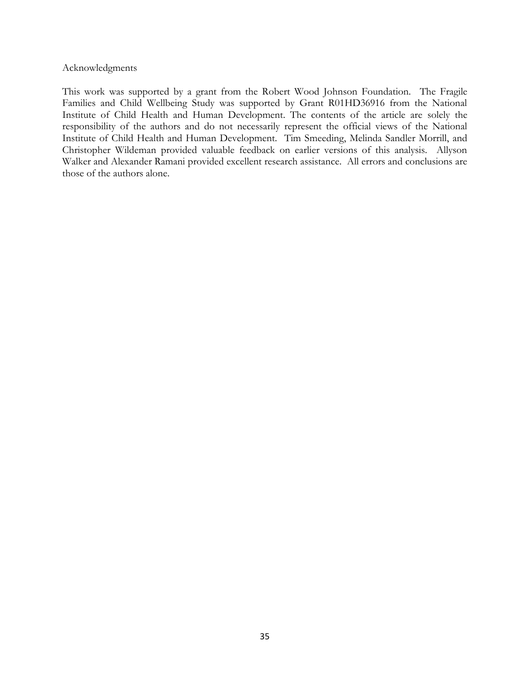## Acknowledgments

This work was supported by a grant from the Robert Wood Johnson Foundation. The Fragile Families and Child Wellbeing Study was supported by Grant R01HD36916 from the National Institute of Child Health and Human Development. The contents of the article are solely the responsibility of the authors and do not necessarily represent the official views of the National Institute of Child Health and Human Development. Tim Smeeding, Melinda Sandler Morrill, and Christopher Wildeman provided valuable feedback on earlier versions of this analysis. Allyson Walker and Alexander Ramani provided excellent research assistance. All errors and conclusions are those of the authors alone.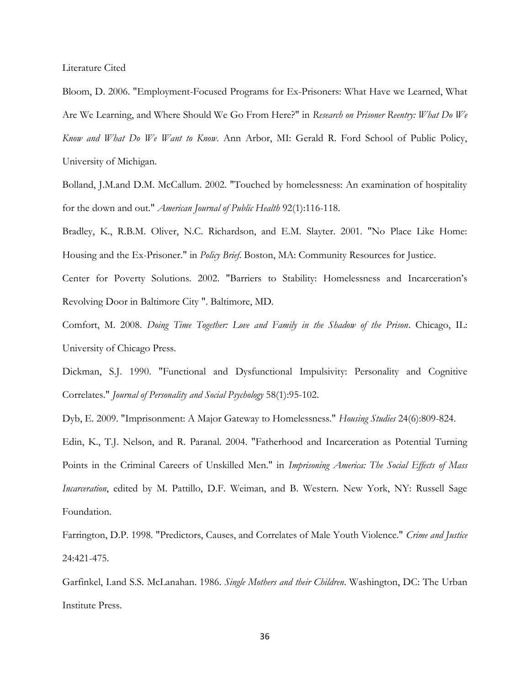Literature Cited

Bloom, D. 2006. "Employment-Focused Programs for Ex-Prisoners: What Have we Learned, What Are We Learning, and Where Should We Go From Here?" in *Research on Prisoner Reentry: What Do We Know and What Do We Want to Know*. Ann Arbor, MI: Gerald R. Ford School of Public Policy, University of Michigan.

Bolland, J.M.and D.M. McCallum. 2002. "Touched by homelessness: An examination of hospitality for the down and out." *American Journal of Public Health* 92(1):116-118.

Bradley, K., R.B.M. Oliver, N.C. Richardson, and E.M. Slayter. 2001. "No Place Like Home: Housing and the Ex-Prisoner." in *Policy Brief*. Boston, MA: Community Resources for Justice.

Center for Poverty Solutions. 2002. "Barriers to Stability: Homelessness and Incarceration's Revolving Door in Baltimore City ". Baltimore, MD.

Comfort, M. 2008. *Doing Time Together: Love and Family in the Shadow of the Prison*. Chicago, IL: University of Chicago Press.

Dickman, S.J. 1990. "Functional and Dysfunctional Impulsivity: Personality and Cognitive Correlates." *Journal of Personality and Social Psychology* 58(1):95-102.

Dyb, E. 2009. "Imprisonment: A Major Gateway to Homelessness." *Housing Studies* 24(6):809-824.

Edin, K., T.J. Nelson, and R. Paranal. 2004. "Fatherhood and Incarceration as Potential Turning Points in the Criminal Careers of Unskilled Men." in *Imprisoning America: The Social Effects of Mass Incarceration*, edited by M. Pattillo, D.F. Weiman, and B. Western. New York, NY: Russell Sage Foundation.

Farrington, D.P. 1998. "Predictors, Causes, and Correlates of Male Youth Violence." *Crime and Justice* 24:421-475.

Garfinkel, I.and S.S. McLanahan. 1986. *Single Mothers and their Children*. Washington, DC: The Urban Institute Press.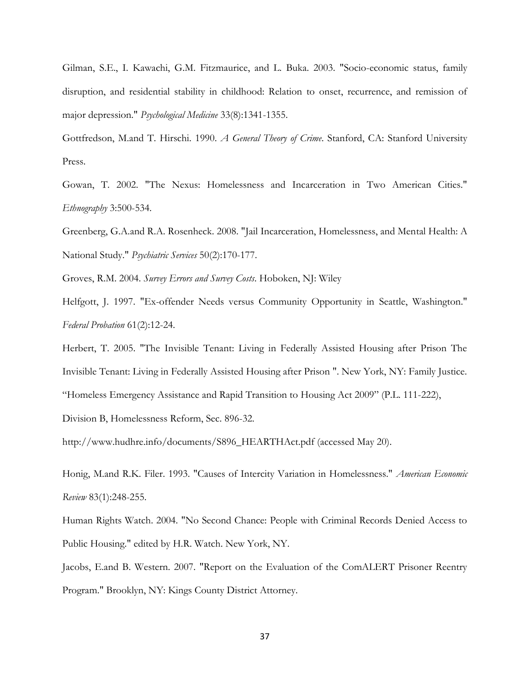Gilman, S.E., I. Kawachi, G.M. Fitzmaurice, and L. Buka. 2003. "Socio-economic status, family disruption, and residential stability in childhood: Relation to onset, recurrence, and remission of major depression." *Psychological Medicine* 33(8):1341-1355.

Gottfredson, M.and T. Hirschi. 1990. *A General Theory of Crime*. Stanford, CA: Stanford University Press.

Gowan, T. 2002. "The Nexus: Homelessness and Incarceration in Two American Cities." *Ethnography* 3:500-534.

Greenberg, G.A.and R.A. Rosenheck. 2008. "Jail Incarceration, Homelessness, and Mental Health: A National Study." *Psychiatric Services* 50(2):170-177.

Groves, R.M. 2004. *Survey Errors and Survey Costs*. Hoboken, NJ: Wiley

Helfgott, J. 1997. "Ex-offender Needs versus Community Opportunity in Seattle, Washington." *Federal Probation* 61(2):12-24.

Herbert, T. 2005. "The Invisible Tenant: Living in Federally Assisted Housing after Prison The Invisible Tenant: Living in Federally Assisted Housing after Prison ". New York, NY: Family Justice. "Homeless Emergency Assistance and Rapid Transition to Housing Act 2009" (P.L. 111-222),

Division B, Homelessness Reform, Sec. 896-32.

http://www.hudhre.info/documents/S896\_HEARTHAct.pdf (accessed May 20).

Honig, M.and R.K. Filer. 1993. "Causes of Intercity Variation in Homelessness." *American Economic Review* 83(1):248-255.

Human Rights Watch. 2004. "No Second Chance: People with Criminal Records Denied Access to Public Housing." edited by H.R. Watch. New York, NY.

Jacobs, E.and B. Western. 2007. "Report on the Evaluation of the ComALERT Prisoner Reentry Program." Brooklyn, NY: Kings County District Attorney.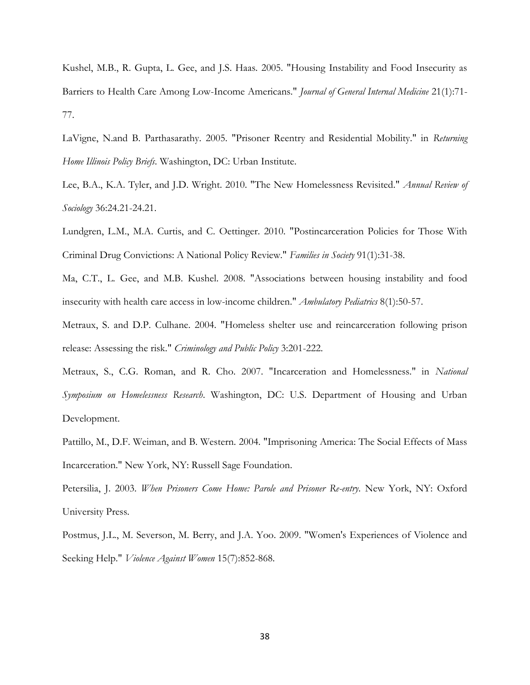Kushel, M.B., R. Gupta, L. Gee, and J.S. Haas. 2005. "Housing Instability and Food Insecurity as Barriers to Health Care Among Low-Income Americans." *Journal of General Internal Medicine* 21(1):71- 77.

LaVigne, N.and B. Parthasarathy. 2005. "Prisoner Reentry and Residential Mobility." in *Returning Home Illinois Policy Briefs*. Washington, DC: Urban Institute.

Lee, B.A., K.A. Tyler, and J.D. Wright. 2010. "The New Homelessness Revisited." *Annual Review of Sociology* 36:24.21-24.21.

Lundgren, L.M., M.A. Curtis, and C. Oettinger. 2010. "Postincarceration Policies for Those With Criminal Drug Convictions: A National Policy Review." *Families in Society* 91(1):31-38.

Ma, C.T., L. Gee, and M.B. Kushel. 2008. "Associations between housing instability and food insecurity with health care access in low-income children." *Ambulatory Pediatrics* 8(1):50-57.

Metraux, S. and D.P. Culhane. 2004. "Homeless shelter use and reincarceration following prison release: Assessing the risk." *Criminology and Public Policy* 3:201-222.

Metraux, S., C.G. Roman, and R. Cho. 2007. "Incarceration and Homelessness." in *National Symposium on Homelessness Research*. Washington, DC: U.S. Department of Housing and Urban Development.

Pattillo, M., D.F. Weiman, and B. Western. 2004. "Imprisoning America: The Social Effects of Mass Incarceration." New York, NY: Russell Sage Foundation.

Petersilia, J. 2003. *When Prisoners Come Home: Parole and Prisoner Re-entry*. New York, NY: Oxford University Press.

Postmus, J.L., M. Severson, M. Berry, and J.A. Yoo. 2009. "Women's Experiences of Violence and Seeking Help." *Violence Against Women* 15(7):852-868.